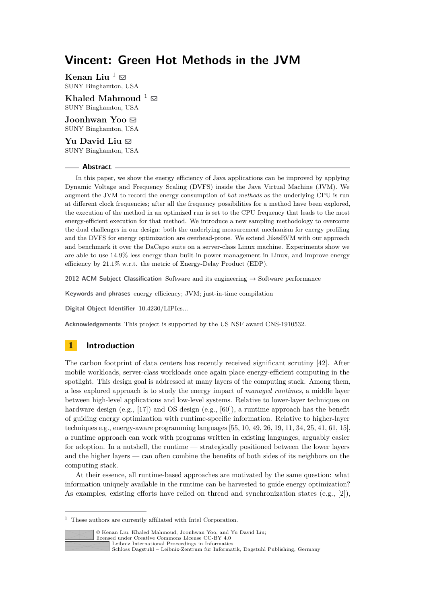# **Vincent: Green Hot Methods in the JVM**

<span id="page-0-0"></span>**Kenan Liu**  $^1 \boxtimes$ SUNY Binghamton, USA

**Khaled Mahmoud**  $^1 \boxtimes$  $^1 \boxtimes$  $^1 \boxtimes$ SUNY Binghamton, USA

**Joonhwan Yoo** SUNY Binghamton, USA

**Yu David Liu** ⊠ SUNY Binghamton, USA

#### **Abstract**

In this paper, we show the energy efficiency of Java applications can be improved by applying Dynamic Voltage and Frequency Scaling (DVFS) inside the Java Virtual Machine (JVM). We augment the JVM to record the energy consumption of *hot methods* as the underlying CPU is run at different clock frequencies; after all the frequency possibilities for a method have been explored, the execution of the method in an optimized run is set to the CPU frequency that leads to the most energy-efficient execution for that method. We introduce a new sampling methodology to overcome the dual challenges in our design: both the underlying measurement mechanism for energy profiling and the DVFS for energy optimization are overhead-prone. We extend JikesRVM with our approach and benchmark it over the DaCapo suite on a server-class Linux machine. Experiments show we are able to use 14.9% less energy than built-in power management in Linux, and improve energy efficiency by 21.1% w.r.t. the metric of Energy-Delay Product (EDP).

**2012 ACM Subject Classification** Software and its engineering → Software performance

**Keywords and phrases** energy efficiency; JVM; just-in-time compilation

**Digital Object Identifier** [10.4230/LIPIcs...](https://doi.org/10.4230/LIPIcs...)

**Acknowledgements** This project is supported by the US NSF award CNS-1910532.

# **1 Introduction**

The carbon footprint of data centers has recently received significant scrutiny [\[42\]](#page-27-0). After mobile workloads, server-class workloads once again place energy-efficient computing in the spotlight. This design goal is addressed at many layers of the computing stack. Among them, a less explored approach is to study the energy impact of *managed runtimes*, a middle layer between high-level applications and low-level systems. Relative to lower-layer techniques on hardware design (e.g., [\[17\]](#page-26-0)) and OS design (e.g., [\[60\]](#page-28-0)), a runtime approach has the benefit of guiding energy optimization with runtime-specific information. Relative to higher-layer techniques e.g., energy-aware programming languages  $[55, 10, 49, 26, 19, 11, 34, 25, 41, 61, 15]$  $[55, 10, 49, 26, 19, 11, 34, 25, 41, 61, 15]$  $[55, 10, 49, 26, 19, 11, 34, 25, 41, 61, 15]$  $[55, 10, 49, 26, 19, 11, 34, 25, 41, 61, 15]$  $[55, 10, 49, 26, 19, 11, 34, 25, 41, 61, 15]$  $[55, 10, 49, 26, 19, 11, 34, 25, 41, 61, 15]$  $[55, 10, 49, 26, 19, 11, 34, 25, 41, 61, 15]$  $[55, 10, 49, 26, 19, 11, 34, 25, 41, 61, 15]$  $[55, 10, 49, 26, 19, 11, 34, 25, 41, 61, 15]$  $[55, 10, 49, 26, 19, 11, 34, 25, 41, 61, 15]$  $[55, 10, 49, 26, 19, 11, 34, 25, 41, 61, 15]$  $[55, 10, 49, 26, 19, 11, 34, 25, 41, 61, 15]$  $[55, 10, 49, 26, 19, 11, 34, 25, 41, 61, 15]$  $[55, 10, 49, 26, 19, 11, 34, 25, 41, 61, 15]$  $[55, 10, 49, 26, 19, 11, 34, 25, 41, 61, 15]$  $[55, 10, 49, 26, 19, 11, 34, 25, 41, 61, 15]$  $[55, 10, 49, 26, 19, 11, 34, 25, 41, 61, 15]$  $[55, 10, 49, 26, 19, 11, 34, 25, 41, 61, 15]$  $[55, 10, 49, 26, 19, 11, 34, 25, 41, 61, 15]$  $[55, 10, 49, 26, 19, 11, 34, 25, 41, 61, 15]$  $[55, 10, 49, 26, 19, 11, 34, 25, 41, 61, 15]$ a runtime approach can work with programs written in existing languages, arguably easier for adoption. In a nutshell, the runtime — strategically positioned between the lower layers and the higher layers — can often combine the benefits of both sides of its neighbors on the computing stack.

At their essence, all runtime-based approaches are motivated by the same question: what information uniquely available in the runtime can be harvested to guide energy optimization? As examples, existing efforts have relied on thread and synchronization states (e.g., [\[2\]](#page-25-3)),

 $^{\rm 1}$  These authors are currently affiliated with Intel Corporation.



© Kenan Liu, Khaled Mahmoud, Joonhwan Yoo, and Yu David Liu;

[Schloss Dagstuhl – Leibniz-Zentrum für Informatik, Dagstuhl Publishing, Germany](https://www.dagstuhl.de)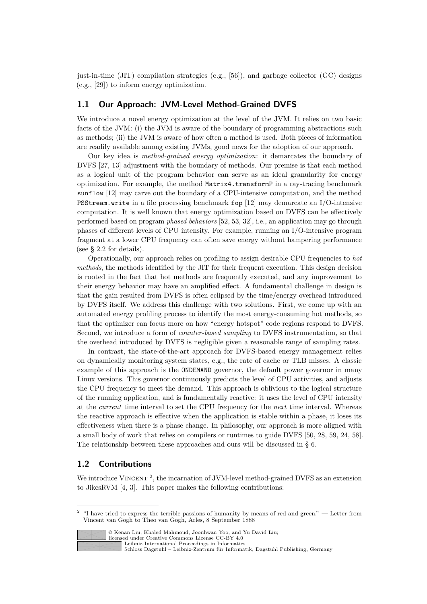just-in-time (JIT) compilation strategies (e.g., [\[56\]](#page-28-4)), and garbage collector (GC) designs (e.g., [\[29\]](#page-26-4)) to inform energy optimization.

#### **1.1 Our Approach: JVM-Level Method-Grained DVFS**

We introduce a novel energy optimization at the level of the JVM. It relies on two basic facts of the JVM: (i) the JVM is aware of the boundary of programming abstractions such as methods; (ii) the JVM is aware of how often a method is used. Both pieces of information are readily available among existing JVMs, good news for the adoption of our approach.

Our key idea is *method-grained energy optimization*: it demarcates the boundary of DVFS [\[27,](#page-26-5) [13\]](#page-25-4) adjustment with the boundary of methods. Our premise is that each method as a logical unit of the program behavior can serve as an ideal granularity for energy optimization. For example, the method Matrix4.transformP in a ray-tracing benchmark sunflow [\[12\]](#page-25-5) may carve out the boundary of a CPU-intensive computation, and the method PSStream.write in a file processing benchmark fop [\[12\]](#page-25-5) may demarcate an I/O-intensive computation. It is well known that energy optimization based on DVFS can be effectively performed based on program *phased behaviors* [\[52,](#page-28-5) [53,](#page-28-6) [32\]](#page-27-3), i.e., an application may go through phases of different levels of CPU intensity. For example, running an I/O-intensive program fragment at a lower CPU frequency can often save energy without hampering performance (see § [2.2](#page-2-0) for details).

Operationally, our approach relies on profiling to assign desirable CPU frequencies to *hot methods*, the methods identified by the JIT for their frequent execution. This design decision is rooted in the fact that hot methods are frequently executed, and any improvement to their energy behavior may have an amplified effect. A fundamental challenge in design is that the gain resulted from DVFS is often eclipsed by the time/energy overhead introduced by DVFS itself. We address this challenge with two solutions. First, we come up with an automated energy profiling process to identify the most energy-consuming hot methods, so that the optimizer can focus more on how "energy hotspot" code regions respond to DVFS. Second, we introduce a form of *counter-based sampling* to DVFS instrumentation, so that the overhead introduced by DVFS is negligible given a reasonable range of sampling rates.

In contrast, the state-of-the-art approach for DVFS-based energy management relies on dynamically monitoring system states, e.g., the rate of cache or TLB misses. A classic example of this approach is the ONDEMAND governor, the default power governor in many Linux versions. This governor continuously predicts the level of CPU activities, and adjusts the CPU frequency to meet the demand. This approach is oblivious to the logical structure of the running application, and is fundamentally reactive: it uses the level of CPU intensity at the *current* time interval to set the CPU frequency for the *next* time interval. Whereas the reactive approach is effective when the application is stable within a phase, it loses its effectiveness when there is a phase change. In philosophy, our approach is more aligned with a small body of work that relies on compilers or runtimes to guide DVFS [\[50,](#page-28-7) [28,](#page-26-6) [59,](#page-28-8) [24,](#page-26-7) [58\]](#page-28-9). The relationship between these approaches and ours will be discussed in § [6.](#page-22-0)

# **1.2 Contributions**

We introduce VINCENT<sup>[2](#page-1-0)</sup>, the incarnation of JVM-level method-grained DVFS as an extension to JikesRVM [\[4,](#page-25-6) [3\]](#page-25-7). This paper makes the following contributions:

<span id="page-1-0"></span><sup>2</sup> "I have tried to express the terrible passions of humanity by means of red and green." — Letter from Vincent van Gogh to Theo van Gogh, Arles, 8 September 1888



<sup>©</sup> Kenan Liu, Khaled Mahmoud, Joonhwan Yoo, and Yu David Liu;

[Schloss Dagstuhl – Leibniz-Zentrum für Informatik, Dagstuhl Publishing, Germany](https://www.dagstuhl.de)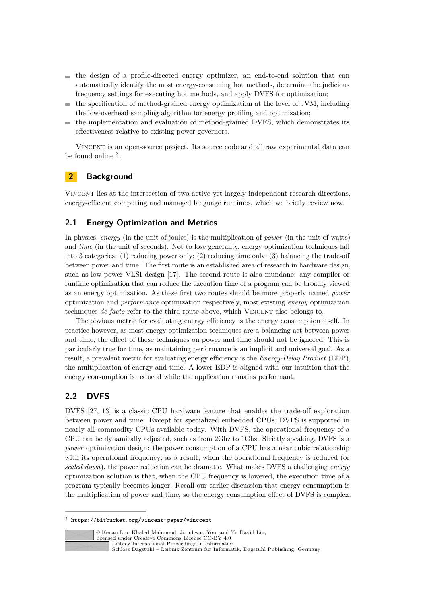- $\blacksquare$  the design of a profile-directed energy optimizer, an end-to-end solution that can automatically identify the most energy-consuming hot methods, determine the judicious frequency settings for executing hot methods, and apply DVFS for optimization;
- the specification of method-grained energy optimization at the level of JVM, including  $\blacksquare$ the low-overhead sampling algorithm for energy profiling and optimization;
- the implementation and evaluation of method-grained DVFS, which demonstrates its  $\blacksquare$ effectiveness relative to existing power governors.

Vincent is an open-source project. Its source code and all raw experimental data can be found online <sup>[3](#page-2-1)</sup>.

# <span id="page-2-2"></span>**2 Background**

Vincent lies at the intersection of two active yet largely independent research directions, energy-efficient computing and managed language runtimes, which we briefly review now.

# **2.1 Energy Optimization and Metrics**

In physics, *energy* (in the unit of joules) is the multiplication of *power* (in the unit of watts) and *time* (in the unit of seconds). Not to lose generality, energy optimization techniques fall into 3 categories: (1) reducing power only; (2) reducing time only; (3) balancing the trade-off between power and time. The first route is an established area of research in hardware design, such as low-power VLSI design [\[17\]](#page-26-0). The second route is also mundane: any compiler or runtime optimization that can reduce the execution time of a program can be broadly viewed as an energy optimization. As these first two routes should be more properly named *power* optimization and *performance* optimization respectively, most existing *energy* optimization techniques *de facto* refer to the third route above, which VINCENT also belongs to.

The obvious metric for evaluating energy efficiency is the energy consumption itself. In practice however, as most energy optimization techniques are a balancing act between power and time, the effect of these techniques on power and time should not be ignored. This is particularly true for time, as maintaining performance is an implicit and universal goal. As a result, a prevalent metric for evaluating energy efficiency is the *Energy-Delay Product* (EDP), the multiplication of energy and time. A lower EDP is aligned with our intuition that the energy consumption is reduced while the application remains performant.

# <span id="page-2-0"></span>**2.2 DVFS**

DVFS [\[27,](#page-26-5) [13\]](#page-25-4) is a classic CPU hardware feature that enables the trade-off exploration between power and time. Except for specialized embedded CPUs, DVFS is supported in nearly all commodity CPUs available today. With DVFS, the operational frequency of a CPU can be dynamically adjusted, such as from 2Ghz to 1Ghz. Strictly speaking, DVFS is a *power* optimization design: the power consumption of a CPU has a near cubic relationship with its operational frequency; as a result, when the operational frequency is reduced (or *scaled down*), the power reduction can be dramatic. What makes DVFS a challenging *energy* optimization solution is that, when the CPU frequency is lowered, the execution time of a program typically becomes longer. Recall our earlier discussion that energy consumption is the multiplication of power and time, so the energy consumption effect of DVFS is complex.

<span id="page-2-1"></span><sup>3</sup> <https://bitbucket.org/vincent-paper/vinccent>



© Kenan Liu, Khaled Mahmoud, Joonhwan Yoo, and Yu David Liu;

[Schloss Dagstuhl – Leibniz-Zentrum für Informatik, Dagstuhl Publishing, Germany](https://www.dagstuhl.de)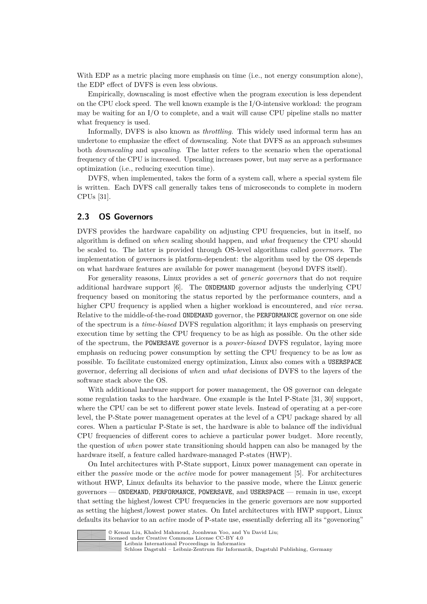With EDP as a metric placing more emphasis on time (i.e., not energy consumption alone), the EDP effect of DVFS is even less obvious.

Empirically, downscaling is most effective when the program execution is less dependent on the CPU clock speed. The well known example is the I/O-intensive workload: the program may be waiting for an I/O to complete, and a wait will cause CPU pipeline stalls no matter what frequency is used.

Informally, DVFS is also known as *throttling*. This widely used informal term has an undertone to emphasize the effect of downscaling. Note that DVFS as an approach subsumes both *downscaling* and *upscaling*. The latter refers to the scenario when the operational frequency of the CPU is increased. Upscaling increases power, but may serve as a performance optimization (i.e., reducing execution time).

DVFS, when implemented, takes the form of a system call, where a special system file is written. Each DVFS call generally takes tens of microseconds to complete in modern CPUs [\[31\]](#page-26-8).

### **2.3 OS Governors**

DVFS provides the hardware capability on adjusting CPU frequencies, but in itself, no algorithm is defined on *when* scaling should happen, and *what* frequency the CPU should be scaled to. The latter is provided through OS-level algorithms called *governors*. The implementation of governors is platform-dependent: the algorithm used by the OS depends on what hardware features are available for power management (beyond DVFS itself).

For generality reasons, Linux provides a set of *generic governors* that do not require additional hardware support [\[6\]](#page-25-8). The ONDEMAND governor adjusts the underlying CPU frequency based on monitoring the status reported by the performance counters, and a higher CPU frequency is applied when a higher workload is encountered, and *vice versa*. Relative to the middle-of-the-road ONDEMAND governor, the PERFORMANCE governor on one side of the spectrum is a *time-biased* DVFS regulation algorithm; it lays emphasis on preserving execution time by setting the CPU frequency to be as high as possible. On the other side of the spectrum, the POWERSAVE governor is a *power-biased* DVFS regulator, laying more emphasis on reducing power consumption by setting the CPU frequency to be as low as possible. To facilitate customized energy optimization, Linux also comes with a USERSPACE governor, deferring all decisions of *when* and *what* decisions of DVFS to the layers of the software stack above the OS.

With additional hardware support for power management, the OS governor can delegate some regulation tasks to the hardware. One example is the Intel P-State [\[31,](#page-26-8) [30\]](#page-26-9) support, where the CPU can be set to different power state levels. Instead of operating at a per-core level, the P-State power management operates at the level of a CPU package shared by all cores. When a particular P-State is set, the hardware is able to balance off the individual CPU frequencies of different cores to achieve a particular power budget. More recently, the question of *when* power state transitioning should happen can also be managed by the hardware itself, a feature called hardware-managed P-states (HWP).

On Intel architectures with P-State support, Linux power management can operate in either the *passive* mode or the *active* mode for power management [\[5\]](#page-25-9). For architectures without HWP, Linux defaults its behavior to the passive mode, where the Linux generic governors — ONDEMAND, PERFORMANCE, POWERSAVE, and USERSPACE — remain in use, except that setting the highest/lowest CPU frequencies in the generic governors are now supported as setting the highest/lowest power states. On Intel architectures with HWP support, Linux defaults its behavior to an *active* mode of P-state use, essentially deferring all its "govenoring"



© Kenan Liu, Khaled Mahmoud, Joonhwan Yoo, and Yu David Liu;

licensed under Creative Commons License CC-BY 4.0 [Leibniz International Proceedings in Informatics](https://www.dagstuhl.de/lipics/)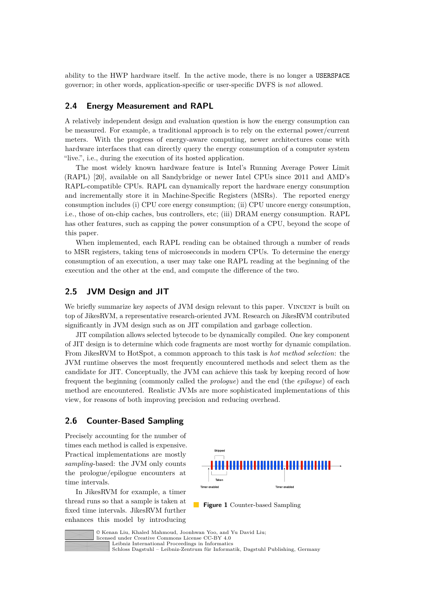ability to the HWP hardware itself. In the active mode, there is no longer a USERSPACE governor; in other words, application-specific or user-specific DVFS is *not* allowed.

#### **2.4 Energy Measurement and RAPL**

A relatively independent design and evaluation question is how the energy consumption can be measured. For example, a traditional approach is to rely on the external power/current meters. With the progress of energy-aware computing, newer architectures come with hardware interfaces that can directly query the energy consumption of a computer system "live.", i.e., during the execution of its hosted application.

The most widely known hardware feature is Intel's Running Average Power Limit (RAPL) [\[20\]](#page-26-10), available on all Sandybridge or newer Intel CPUs since 2011 and AMD's RAPL-compatible CPUs. RAPL can dynamically report the hardware energy consumption and incrementally store it in Machine-Specific Registers (MSRs). The reported energy consumption includes (i) CPU core energy consumption; (ii) CPU uncore energy consumption, i.e., those of on-chip caches, bus controllers, etc; (iii) DRAM energy consumption. RAPL has other features, such as capping the power consumption of a CPU, beyond the scope of this paper.

When implemented, each RAPL reading can be obtained through a number of reads to MSR registers, taking tens of microseconds in modern CPUs. To determine the energy consumption of an execution, a user may take one RAPL reading at the beginning of the execution and the other at the end, and compute the difference of the two.

#### **2.5 JVM Design and JIT**

We briefly summarize key aspects of JVM design relevant to this paper. VINCENT is built on top of JikesRVM, a representative research-oriented JVM. Research on JikesRVM contributed significantly in JVM design such as on JIT compilation and garbage collection.

JIT compilation allows selected bytecode to be dynamically compiled. One key component of JIT design is to determine which code fragments are most worthy for dynamic compilation. From JikesRVM to HotSpot, a common approach to this task is *hot method selection*: the JVM runtime observes the most frequently encountered methods and select them as the candidate for JIT. Conceptually, the JVM can achieve this task by keeping record of how frequent the beginning (commonly called the *prologue*) and the end (the *epilogue*) of each method are encountered. Realistic JVMs are more sophisticated implementations of this view, for reasons of both improving precision and reducing overhead.

# **2.6 Counter-Based Sampling**

Precisely accounting for the number of times each method is called is expensive. Practical implementations are mostly *sampling*-based: the JVM only counts the prologue/epilogue encounters at time intervals.

In JikesRVM for example, a timer thread runs so that a sample is taken at fixed time intervals. JikesRVM further enhances this model by introducing

<span id="page-4-0"></span>

**Figure 1** Counter-based Sampling



© Kenan Liu, Khaled Mahmoud, Joonhwan Yoo, and Yu David Liu; licensed under Creative Commons License CC-BY 4.0 [Leibniz International Proceedings in Informatics](https://www.dagstuhl.de/lipics/)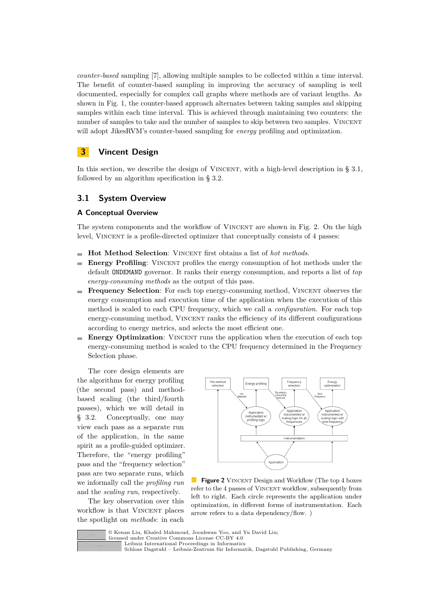*counter-based* sampling [\[7\]](#page-25-10), allowing multiple samples to be collected within a time interval. The benefit of counter-based sampling in improving the accuracy of sampling is well documented, especially for complex call graphs where methods are of variant lengths. As shown in Fig. [1,](#page-4-0) the counter-based approach alternates between taking samples and skipping samples within each time interval. This is achieved through maintaining two counters: the number of samples to take and the number of samples to skip between two samples. VINCENT will adopt JikesRVM's counter-based sampling for *energy* profiling and optimization.

# **3 Vincent Design**

In this section, we describe the design of VINCENT, with a high-level description in  $\S 3.1$ , followed by an algorithm specification in § [3.2.](#page-6-0)

### <span id="page-5-0"></span>**3.1 System Overview**

#### **A Conceptual Overview**

The system components and the workflow of VINCENT are shown in Fig. [2.](#page-5-1) On the high level, VINCENT is a profile-directed optimizer that conceptually consists of 4 passes:

- **Hot Method Selection**: Vincent first obtains a list of *hot methods*.
- **Energy Profiling**: VINCENT profiles the energy consumption of hot methods under the  $\mathbf{r}$ default ONDEMAND governor. It ranks their energy consumption, and reports a list of *top energy-consuming methods* as the output of this pass.
- **Frequency Selection**: For each top energy-consuming method, VINCENT observes the m. energy consumption and execution time of the application when the execution of this method is scaled to each CPU frequency, which we call a *configuration*. For each top energy-consuming method, Vincent ranks the efficiency of its different configurations according to energy metrics, and selects the most efficient one.
- **Energy Optimization**: VINCENT runs the application when the execution of each top energy-consuming method is scaled to the CPU frequency determined in the Frequency Selection phase.

The core design elements are the algorithms for energy profiling (the second pass) and methodbased scaling (the third/fourth passes), which we will detail in § [3.2.](#page-6-0) Conceptually, one may view each pass as a separate run of the application, in the same spirit as a profile-guided optimizer. Therefore, the "energy profiling" pass and the "frequency selection" pass are two separate runs, which we informally call the *profiling run* and the *scaling run*, respectively.

The key observation over this workflow is that VINCENT places the spotlight on *methods*: in each

<span id="page-5-1"></span>

**Figure 2** VINCENT Design and Workflow (The top 4 boxes refer to the 4 passes of VINCENT workflow, subsequently from left to right. Each circle represents the application under optimization, in different forms of instrumentation. Each arrow refers to a data dependency/flow. )



© Kenan Liu, Khaled Mahmoud, Joonhwan Yoo, and Yu David Liu;

licensed under Creative Commons License CC-BY 4.0

[Leibniz International Proceedings in Informatics](https://www.dagstuhl.de/lipics/)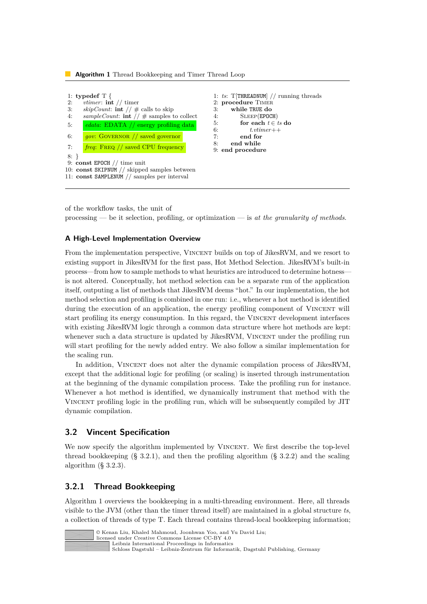<span id="page-6-2"></span>**Algorithm 1** Thread Bookkeeping and Timer Thread Loop



of the workflow tasks, the unit of processing — be it selection, profiling, or optimization — is *at the granularity of methods*.

#### **A High-Level Implementation Overview**

From the implementation perspective, VINCENT builds on top of JikesRVM, and we resort to existing support in JikesRVM for the first pass, Hot Method Selection. JikesRVM's built-in process—from how to sample methods to what heuristics are introduced to determine hotness is not altered. Conceptually, hot method selection can be a separate run of the application itself, outputing a list of methods that JikesRVM deems "hot." In our implementation, the hot method selection and profiling is combined in one run: i.e., whenever a hot method is identified during the execution of an application, the energy profiling component of VINCENT will start profiling its energy consumption. In this regard, the VINCENT development interfaces with existing JikesRVM logic through a common data structure where hot methods are kept: whenever such a data structure is updated by JikesRVM, VINCENT under the profiling run will start profiling for the newly added entry. We also follow a similar implementation for the scaling run.

In addition, VINCENT does not alter the dynamic compilation process of JikesRVM, except that the additional logic for profiling (or scaling) is inserted through instrumentation at the beginning of the dynamic compilation process. Take the profiling run for instance. Whenever a hot method is identified, we dynamically instrument that method with the Vincent profiling logic in the profiling run, which will be subsequently compiled by JIT dynamic compilation.

# <span id="page-6-0"></span>**3.2 Vincent Specification**

We now specify the algorithm implemented by VINCENT. We first describe the top-level thread bookkeeping  $(\S 3.2.1)$  $(\S 3.2.1)$ , and then the profiling algorithm  $(\S 3.2.2)$  $(\S 3.2.2)$  and the scaling algorithm (§ [3.2.3\)](#page-10-0).

# <span id="page-6-1"></span>**3.2.1 Thread Bookkeeping**

Algorithm [1](#page-6-2) overviews the bookkeeping in a multi-threading environment. Here, all threads visible to the JVM (other than the timer thread itself) are maintained in a global structure *ts*, a collection of threads of type T. Each thread contains thread-local bookkeeping information;

| © Kenan Liu, Khaled Mahmoud, Joonhwan Yoo, and Yu David Liu;  |
|---------------------------------------------------------------|
| licensed under Creative Commons License CC-BY 4.0             |
| Leibniz International Proceedings in Informatics              |
| l Schloss Dagstuhl – Leibniz-Zentrum für Informatik. Dagstuhl |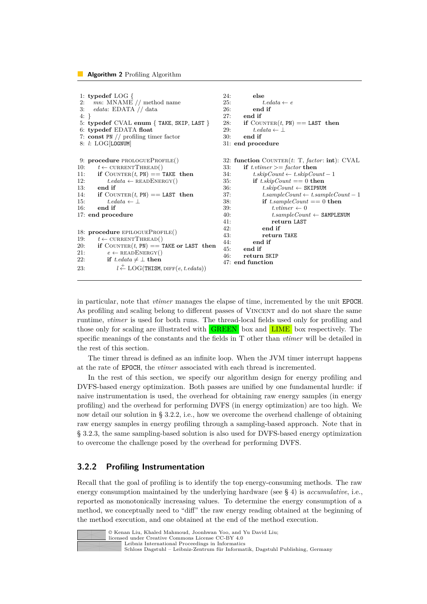#### <span id="page-7-1"></span>**Algorithm 2** Profiling Algorithm

```
1: typedef LOG {
 2: mn: \text{MNAME} // method name<br>3: edata: \text{EDATA} // data
       3: edata: EDATA // data
 4: }
 5: typedef CVAL enum { TAKE, SKIP, LAST }
 6: typedef EDATA float
 7: const PN // profiling timer factor
 8: l: LOG[LOGNUM]
9: procedure PROLOGUEPROFILE()
10: t \leftarrow \text{CURRENTTHEAD}()11: if COUNTER(t, PN) == TAKE then
12: t.edata \leftarrow \text{READENERGY}()13: end if
14: if COUNTER(t, PN) == LAST then<br>15: t, edata \leftarrow |
             t. edata ← \left| \right|16: end if
17: end procedure
18: procedure EPILOGUEPROFILE()<br>19: t \leftarrow \text{CURRENTTHEREAD}()t \leftarrow \text{CURRENTTHEAD}()20: if COUNTER(t, PN) =TAKE or LAST then<br>21. e \leftarrowBEADENERGY()
             e \leftarrow \text{READENERGY}()22: if t,edata \neq \perpthen
23: l
                 l \stackrel{+}{\leftarrow} LOG(THISM, DIFF(e, t.edata))
                                                                24: else
                                                                25: t.edata \leftarrow e<br>26: end if
                                                                             26: end if
                                                                27: end if<br>28: if COU
                                                                28: if COUNTER(t, \text{PN}) == LAST then<br>29: t edata \leftarrow |
                                                                             t. edata ← ⊥
                                                                30: end if
                                                                31: end procedure
                                                                32: function COUNTER(t: T, factor: int): CVAL
                                                                33: if t.vtimer >= factor then
                                                                34: t.\text{skipCount} \leftarrow t.\text{skipCount} - 135: if t.skipCount == 0 then
                                                                36: t.\dot{skipCount} \leftarrow \text{SKIPNUM}<br>37: t.\dot{sampleCount} \leftarrow t.\dot{sam}37: t,sampleCount ← t,sampleCount = 1<br>38: if t,sampleCount = 0 then
                                                                                 \mathbf{if} t.sampleCount == 0 then
                                                                39: t.\textit{vtimer} \leftarrow 0<br>40: t.\textit{sampleCount}40: t.sampleCount ← SAMPLENUM
                                                                                     41: return LAST
                                                                42: end if
                                                                                 43: return TAKE
                                                                44: end if
                                                                45: end if
                                                                         46: return SKIP
                                                                47: end function
```
in particular, note that *vtimer* manages the elapse of time, incremented by the unit EPOCH. As profiling and scaling belong to different passes of Vincent and do not share the same runtime, *vtimer* is used for both runs. The thread-local fields used only for profiling and those only for scaling are illustrated with GREEN box and LIME box respectively. The specific meanings of the constants and the fields in T other than *vtimer* will be detailed in the rest of this section.

The timer thread is defined as an infinite loop. When the JVM timer interrupt happens at the rate of EPOCH, the *vtimer* associated with each thread is incremented.

In the rest of this section, we specify our algorithm design for energy profiling and DVFS-based energy optimization. Both passes are unified by one fundamental hurdle: if naive instrumentation is used, the overhead for obtaining raw energy samples (in energy profiling) and the overhead for performing DVFS (in energy optimization) are too high. We now detail our solution in § [3.2.2,](#page-7-0) i.e., how we overcome the overhead challenge of obtaining raw energy samples in energy profiling through a sampling-based approach. Note that in § [3.2.3,](#page-10-0) the same sampling-based solution is also used for DVFS-based energy optimization to overcome the challenge posed by the overhead for performing DVFS.

#### <span id="page-7-0"></span>**3.2.2 Profiling Instrumentation**

Recall that the goal of profiling is to identify the top energy-consuming methods. The raw energy consumption maintained by the underlying hardware (see § [4\)](#page-11-0) is *accumulative*, i.e., reported as monotonically increasing values. To determine the energy consumption of a method, we conceptually need to "diff" the raw energy reading obtained at the beginning of the method execution, and one obtained at the end of the method execution.



© Kenan Liu, Khaled Mahmoud, Joonhwan Yoo, and Yu David Liu; licensed under Creative Commons License CC-BY 4.0

[Leibniz International Proceedings in Informatics](https://www.dagstuhl.de/lipics/)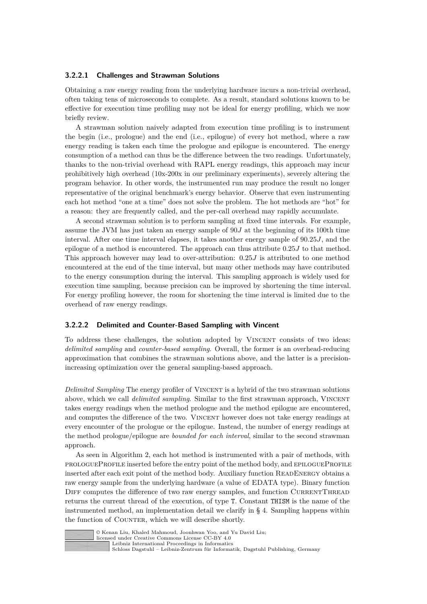#### **3.2.2.1 Challenges and Strawman Solutions**

Obtaining a raw energy reading from the underlying hardware incurs a non-trivial overhead, often taking tens of microseconds to complete. As a result, standard solutions known to be effective for execution time profiling may not be ideal for energy profiling, which we now briefly review.

A strawman solution naively adapted from execution time profiling is to instrument the begin (i.e., prologue) and the end (i.e., epilogue) of every hot method, where a raw energy reading is taken each time the prologue and epilogue is encountered. The energy consumption of a method can thus be the difference between the two readings. Unfortunately, thanks to the non-trivial overhead with RAPL energy readings, this approach may incur prohibitively high overhead  $(10x-200x)$  in our preliminary experiments), severely altering the program behavior. In other words, the instrumented run may produce the result no longer representative of the original benchmark's energy behavior. Observe that even instrumenting each hot method "one at a time" does not solve the problem. The hot methods are "hot" for a reason: they are frequently called, and the per-call overhead may rapidly accumulate.

A second strawman solution is to perform sampling at fixed time intervals. For example, assume the JVM has just taken an energy sample of 90*J* at the beginning of its 100th time interval. After one time interval elapses, it takes another energy sample of 90*.*25*J*, and the epilogue of a method is encountered. The approach can thus attribute 0*.*25*J* to that method. This approach however may lead to over-attribution: 0*.*25*J* is attributed to one method encountered at the end of the time interval, but many other methods may have contributed to the energy consumption during the interval. This sampling approach is widely used for execution time sampling, because precision can be improved by shortening the time interval. For energy profiling however, the room for shortening the time interval is limited due to the overhead of raw energy readings.

#### **3.2.2.2 Delimited and Counter-Based Sampling with Vincent**

To address these challenges, the solution adopted by VINCENT consists of two ideas: *delimited sampling* and *counter-based sampling*. Overall, the former is an overhead-reducing approximation that combines the strawman solutions above, and the latter is a precisionincreasing optimization over the general sampling-based approach.

*Delimited Sampling* The energy profiler of VINCENT is a hybrid of the two strawman solutions above, which we call *delimited sampling*. Similar to the first strawman approach, VINCENT takes energy readings when the method prologue and the method epilogue are encountered, and computes the difference of the two. VINCENT however does not take energy readings at every encounter of the prologue or the epilogue. Instead, the number of energy readings at the method prologue/epilogue are *bounded for each interval*, similar to the second strawman approach.

As seen in Algorithm [2,](#page-7-1) each hot method is instrumented with a pair of methods, with prologueProfile inserted before the entry point of the method body, and epilogueProfile inserted after each exit point of the method body. Auxiliary function ReadEnergy obtains a raw energy sample from the underlying hardware (a value of EDATA type). Binary function DIFF computes the difference of two raw energy samples, and function CURRENTTHREAD returns the current thread of the execution, of type T. Constant THISM is the name of the instrumented method, an implementation detail we clarify in § [4.](#page-11-0) Sampling happens within the function of COUNTER, which we will describe shortly.



© Kenan Liu, Khaled Mahmoud, Joonhwan Yoo, and Yu David Liu; licensed under Creative Commons License CC-BY 4.0

[Leibniz International Proceedings in Informatics](https://www.dagstuhl.de/lipics/)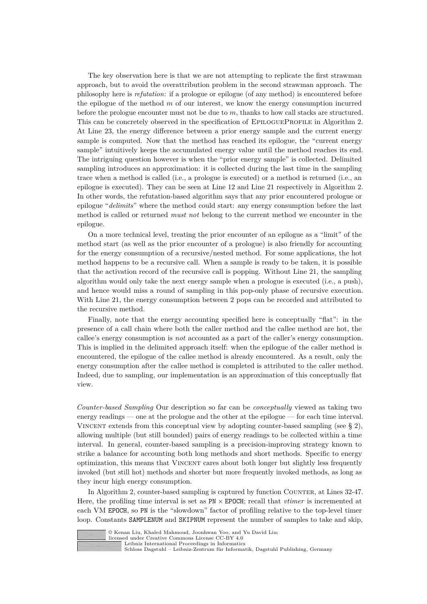The key observation here is that we are not attempting to replicate the first strawman approach, but to avoid the overattribution problem in the second strawman approach. The philosophy here is *refutation*: if a prologue or epilogue (of any method) is encountered before the epilogue of the method *m* of our interest, we know the energy consumption incurred before the prologue encounter must not be due to *m*, thanks to how call stacks are structured. This can be concretely observed in the specification of EPILOGUEPROFILE in Algorithm [2.](#page-7-1) At Line [23,](#page-7-1) the energy difference between a prior energy sample and the current energy sample is computed. Now that the method has reached its epilogue, the "current energy sample" intuitively keeps the accumulated energy value until the method reaches its end. The intriguing question however is when the "prior energy sample" is collected. Delimited sampling introduces an approximation: it is collected during the last time in the sampling trace when a method is called (i.e., a prologue is executed) or a method is returned (i.e., an epilogue is executed). They can be seen at Line [12](#page-7-1) and Line [21](#page-7-1) respectively in Algorithm [2.](#page-7-1) In other words, the refutation-based algorithm says that any prior encountered prologue or epilogue "*delimits*" where the method could start: any energy consumption before the last method is called or returned *must not* belong to the current method we encounter in the epilogue.

On a more technical level, treating the prior encounter of an epilogue as a "limit" of the method start (as well as the prior encounter of a prologue) is also friendly for accounting for the energy consumption of a recursive/nested method. For some applications, the hot method happens to be a recursive call. When a sample is ready to be taken, it is possible that the activation record of the recursive call is popping. Without Line [21,](#page-7-1) the sampling algorithm would only take the next energy sample when a prologue is executed (i.e., a push), and hence would miss a round of sampling in this pop-only phase of recursive execution. With Line [21,](#page-7-1) the energy consumption between 2 pops can be recorded and attributed to the recursive method.

Finally, note that the energy accounting specified here is conceptually "flat": in the presence of a call chain where both the caller method and the callee method are hot, the callee's energy consumption is *not* accounted as a part of the caller's energy consumption. This is implied in the delimited approach itself: when the epilogue of the caller method is encountered, the epilogue of the callee method is already encountered. As a result, only the energy consumption after the callee method is completed is attributed to the caller method. Indeed, due to sampling, our implementation is an approximation of this conceptually flat view.

*Counter-based Sampling* Our description so far can be *conceptually* viewed as taking two energy readings — one at the prologue and the other at the epilogue — for each time interval. VINCENT extends from this conceptual view by adopting counter-based sampling (see  $\S$  [2\)](#page-2-2), allowing multiple (but still bounded) pairs of energy readings to be collected within a time interval. In general, counter-based sampling is a precision-improving strategy known to strike a balance for accounting both long methods and short methods. Specific to energy optimization, this means that Vincent cares about both longer but slightly less frequently invoked (but still hot) methods and shorter but more frequently invoked methods, as long as they incur high energy consumption.

In Algorithm [2,](#page-7-1) counter-based sampling is captured by function Counter, at Lines [32-47.](#page-7-1) Here, the profiling time interval is set as PN × EPOCH; recall that *vtimer* is incremented at each VM EPOCH, so PN is the "slowdown" factor of profiling relative to the top-level timer loop. Constants SAMPLENUM and SKIPNUM represent the number of samples to take and skip,



© Kenan Liu, Khaled Mahmoud, Joonhwan Yoo, and Yu David Liu;

licensed under Creative Commons License CC-BY 4.0 [Leibniz International Proceedings in Informatics](https://www.dagstuhl.de/lipics/)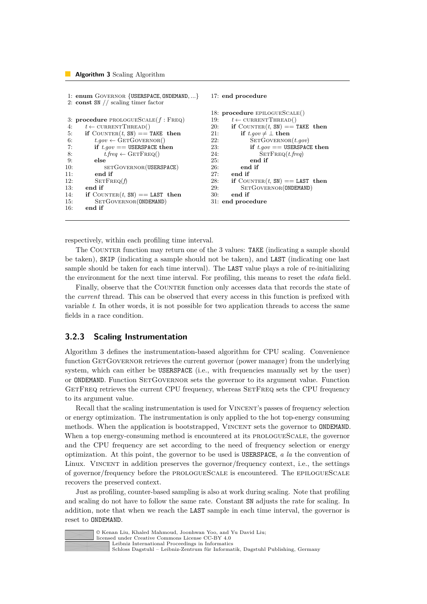```
1: enum Governor {USERSPACE, ONDEMAND, ...}
2: const SN // scaling timer factor
3: procedure prologueScale(f : Freq)
 4: t \leftarrow \text{CURRENTTHEAD}()5: if COUNTER(t, SM) == TAKE then<br>6: t.gov \leftarrow GETGOVERNOR()
6: t.gov \leftarrow \text{GETGOVERNOR}()<br>7: if t.oov == \text{USERSPACE} th
            if t \cdot qov == \text{USERSPACE} then
8: t.freq \leftarrow GETFREQ()<br>9: else
            9: else
10: SETGOVERNOR(USERSPACE)
11: end if
12: SETFREQ(f)13: end if
14: if COUNTER(t, SM) == LAST then<br>15: SETGOVERNOR(ONDEMAND)
             SETGOVERNOR(ONDEMAND)
16: end if
                                                               17: end procedure
                                                               18: procedure epilogueScale()
                                                               19: t \leftarrow \text{CURRENTTHREAD}()20: if COUNTER(t, SN) == TAKE then<br>21: if t \cdot a \circ v \neq 1 then
                                                                            if t.gov ≠ ⊥ then
                                                               22: SETGOVERNOR(t.gov)<br>
23: \qquad \qquad \textbf{if } t \text{.} aov == \text{USERSPACE}if t \cdot qov == \text{USERSPACE} then
                                                               24: SETFREQ(t.freq)<br>25: end if
                                                                                end if
                                                               26: end if
                                                               27: end if
                                                               28: if COUNTER(t, SM) == LAST then<br>29: SETGOVERNOR (ONDEMAND)
                                                                            SETGOVERNOR(ONDEMAND)
                                                               30: end if
                                                               31: end procedure
```
respectively, within each profiling time interval.

The COUNTER function may return one of the 3 values: TAKE (indicating a sample should be taken), SKIP (indicating a sample should not be taken), and LAST (indicating one last sample should be taken for each time interval). The LAST value plays a role of re-initializing the environment for the next time interval. For profiling, this means to reset the *edata* field.

Finally, observe that the COUNTER function only accesses data that records the state of the *current* thread. This can be observed that every access in this function is prefixed with variable *t*. In other words, it is not possible for two application threads to access the same fields in a race condition.

### <span id="page-10-0"></span>**3.2.3 Scaling Instrumentation**

Algorithm [3](#page-10-1) defines the instrumentation-based algorithm for CPU scaling. Convenience function GETGOVERNOR retrieves the current governor (power manager) from the underlying system, which can either be USERSPACE (i.e., with frequencies manually set by the user) or ONDEMAND. Function SETGOVERNOR sets the governor to its argument value. Function GETFREQ retrieves the current CPU frequency, whereas SETFREQ sets the CPU frequency to its argument value.

Recall that the scaling instrumentation is used for VINCENT's passes of frequency selection or energy optimization. The instrumentation is only applied to the hot top-energy consuming methods. When the application is bootstrapped, VINCENT sets the governor to ONDEMAND. When a top energy-consuming method is encountered at its PROLOGUESCALE, the governor and the CPU frequency are set according to the need of frequency selection or energy optimization. At this point, the governor to be used is USERSPACE, *a la* the convention of Linux. VINCENT in addition preserves the governor/frequency context, i.e., the settings of governor/frequency before the prologueScale is encountered. The epilogueScale recovers the preserved context.

Just as profiling, counter-based sampling is also at work during scaling. Note that profiling and scaling do not have to follow the same rate. Constant SN adjusts the rate for scaling. In addition, note that when we reach the LAST sample in each time interval, the governor is reset to ONDEMAND.



© Kenan Liu, Khaled Mahmoud, Joonhwan Yoo, and Yu David Liu; licensed under Creative Commons License CC-BY 4.0 [Leibniz International Proceedings in Informatics](https://www.dagstuhl.de/lipics/)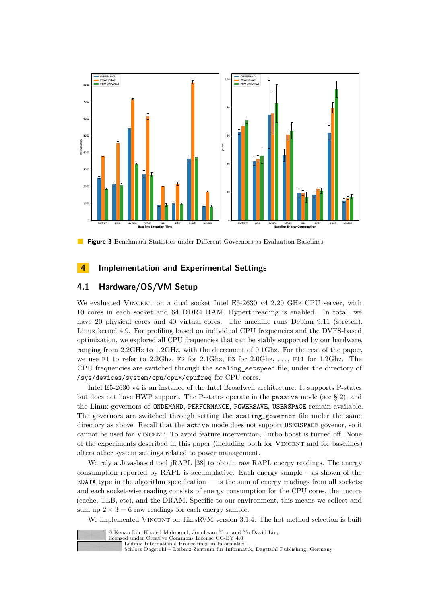<span id="page-11-1"></span>

**Figure 3** Benchmark Statistics under Different Governors as Evaluation Baselines

# <span id="page-11-0"></span>**4 Implementation and Experimental Settings**

# **4.1 Hardware/OS/VM Setup**

We evaluated VINCENT on a dual socket Intel E5-2630 v4 2.20 GHz CPU server, with 10 cores in each socket and 64 DDR4 RAM. Hyperthreading is enabled. In total, we have 20 physical cores and 40 virtual cores. The machine runs Debian 9.11 (stretch), Linux kernel 4.9. For profiling based on individual CPU frequencies and the DVFS-based optimization, we explored all CPU frequencies that can be stably supported by our hardware, ranging from 2.2GHz to 1.2GHz, with the decrement of 0.1Ghz. For the rest of the paper, we use F1 to refer to 2.2Ghz, F2 for 2.1Ghz, F3 for 2.0Ghz, *. . .* , F11 for 1.2Ghz. The CPU frequencies are switched through the scaling\_setspeed file, under the directory of /sys/devices/system/cpu/cpu\*/cpufreq for CPU cores.

Intel E5-2630 v4 is an instance of the Intel Broadwell architecture. It supports P-states but does not have HWP support. The P-states operate in the passive mode (see § [2\)](#page-2-2), and the Linux governors of ONDEMAND, PERFORMANCE, POWERSAVE, USERSPACE remain available. The governors are switched through setting the scaling\_governor file under the same directory as above. Recall that the active mode does not support USERSPACE govenor, so it cannot be used for Vincent. To avoid feature intervention, Turbo boost is turned off. None of the experiments described in this paper (including both for Vincent and for baselines) alters other system settings related to power management.

We rely a Java-based tool iRAPL [\[38\]](#page-27-4) to obtain raw RAPL energy readings. The energy consumption reported by RAPL is accumulative. Each energy sample – as shown of the EDATA type in the algorithm specification  $-$  is the sum of energy readings from all sockets; and each socket-wise reading consists of energy consumption for the CPU cores, the uncore (cache, TLB, etc), and the DRAM. Specific to our environment, this means we collect and sum up  $2 \times 3 = 6$  raw readings for each energy sample.

We implemented VINCENT on JikesRVM version 3.1.4. The hot method selection is built



licensed under Creative Commons License CC-BY 4.0 [Leibniz International Proceedings in Informatics](https://www.dagstuhl.de/lipics/)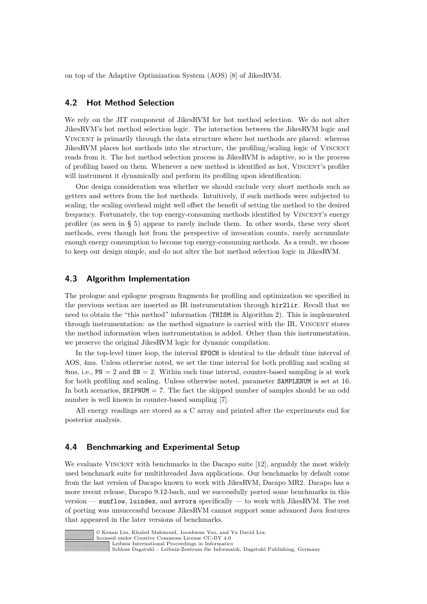on top of the Adaptive Optimization System (AOS) [\[8\]](#page-25-11) of JikesRVM.

# **4.2 Hot Method Selection**

We rely on the JIT component of JikesRVM for hot method selection. We do not alter JikesRVM's hot method selection logic. The interaction between the JikesRVM logic and Vincent is primarily through the data structure where hot methods are placed: whereas JikesRVM places hot methods into the structure, the profiling/scaling logic of Vincent reads from it. The hot method selection process in JikesRVM is adaptive, so is the process of profiling based on them. Whenever a new method is identified as hot, VINCENT's profiler will instrument it dynamically and perform its profiling upon identification.

One design consideration was whether we should exclude very short methods such as getters and setters from the hot methods. Intuitively, if such methods were subjected to scaling, the scaling overhead might well offset the benefit of setting the method to the desired frequency. Fortunately, the top energy-consuming methods identified by VINCENT's energy profiler (as seen in § [5\)](#page-13-0) appear to rarely include them. In other words, these very short methods, even though hot from the perspective of invocation counts, rarely accumulate enough energy consumption to become top energy-consuming methods. As a result, we choose to keep our design simple, and do not alter the hot method selection logic in JikesRVM.

# **4.3 Algorithm Implementation**

The prologue and epilogue program fragments for profiling and optimization we specified in the previous section are inserted as IR instrumentation through hir2lir. Recall that we need to obtain the "this method" information (THISM in Algorithm [2\)](#page-7-1). This is implemented through instrumentation: as the method signature is carried with the IR, VINCENT stores the method information when instrumentation is added. Other than this instrumentation, we preserve the original JikesRVM logic for dynamic compilation.

In the top-level timer loop, the interval EPOCH is identical to the default time interval of AOS, 4ms. Unless otherwise noted, we set the time interval for both profiling and scaling at 8ms, i.e.,  $PN = 2$  and  $SN = 2$ . Within each time interval, counter-based sampling is at work for both profiling and scaling. Unless otherwise noted, parameter SAMPLENUM is set at 16. In both scenarios,  $SKIPNUM = 7$ . The fact the skipped number of samples should be an odd number is well known in counter-based sampling [\[7\]](#page-25-10).

All energy readings are stored as a C array and printed after the experiments end for posterior analysis.

### **4.4 Benchmarking and Experimental Setup**

We evaluate VINCENT with benchmarks in the Dacapo suite [\[12\]](#page-25-5), arguably the most widely used benchmark suite for multithreaded Java applications. Our benchmarks by default come from the last version of Dacapo known to work with JikesRVM, Dacapo MR2. Dacapo has a more recent release, Dacapo 9.12-bach, and we successfully ported some benchmarks in this version — sunflow, luindex, and avrora specifically — to work with JikesRVM. The rest of porting was unsuccessful because JikesRVM cannot support some advanced Java features that appeared in the later versions of benchmarks.



© Kenan Liu, Khaled Mahmoud, Joonhwan Yoo, and Yu David Liu; licensed under Creative Commons License CC-BY 4.0

[Leibniz International Proceedings in Informatics](https://www.dagstuhl.de/lipics/)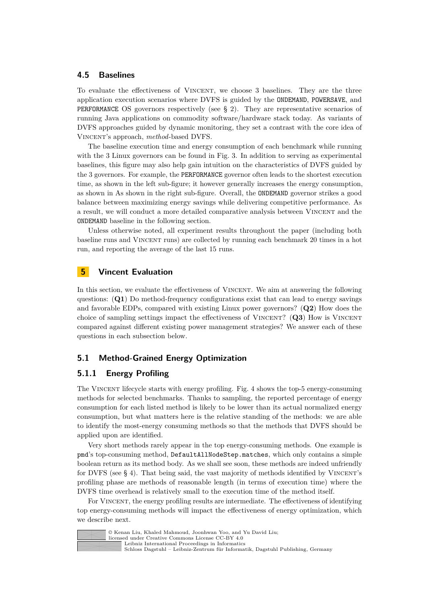### **4.5 Baselines**

To evaluate the effectiveness of VINCENT, we choose 3 baselines. They are the three application execution scenarios where DVFS is guided by the ONDEMAND, POWERSAVE, and PERFORMANCE OS governors respectively (see § [2\)](#page-2-2). They are representative scenarios of running Java applications on commodity software/hardware stack today. As variants of DVFS approaches guided by dynamic monitoring, they set a contrast with the core idea of Vincent's approach, *method*-based DVFS.

The baseline execution time and energy consumption of each benchmark while running with the 3 Linux governors can be found in Fig. [3.](#page-11-1) In addition to serving as experimental baselines, this figure may also help gain intuition on the characteristics of DVFS guided by the 3 governors. For example, the PERFORMANCE governor often leads to the shortest execution time, as shown in the left sub-figure; it however generally increases the energy consumption, as shown in As shown in the right sub-figure. Overall, the ONDEMAND governor strikes a good balance between maximizing energy savings while delivering competitive performance. As a result, we will conduct a more detailed comparative analysis between Vincent and the ONDEMAND baseline in the following section.

Unless otherwise noted, all experiment results throughout the paper (including both baseline runs and Vincent runs) are collected by running each benchmark 20 times in a hot run, and reporting the average of the last 15 runs.

# <span id="page-13-0"></span>**5 Vincent Evaluation**

In this section, we evaluate the effectiveness of VINCENT. We aim at answering the following questions: (**Q1**) Do method-frequency configurations exist that can lead to energy savings and favorable EDPs, compared with existing Linux power governors? (**Q2**) How does the choice of sampling settings impact the effectiveness of VINCENT? (Q3) How is VINCENT compared against different existing power management strategies? We answer each of these questions in each subsection below.

# **5.1 Method-Grained Energy Optimization**

#### **5.1.1 Energy Profiling**

The Vincent lifecycle starts with energy profiling. Fig. [4](#page-14-0) shows the top-5 energy-consuming methods for selected benchmarks. Thanks to sampling, the reported percentage of energy consumption for each listed method is likely to be lower than its actual normalized energy consumption, but what matters here is the relative standing of the methods: we are able to identify the most-energy consuming methods so that the methods that DVFS should be applied upon are identified.

Very short methods rarely appear in the top energy-consuming methods. One example is pmd's top-consuming method, DefaultAllNodeStep.matches, which only contains a simple boolean return as its method body. As we shall see soon, these methods are indeed unfriendly for DVFS (see  $\S$  [4\)](#page-11-0). That being said, the vast majority of methods identified by VINCENT's profiling phase are methods of reasonable length (in terms of execution time) where the DVFS time overhead is relatively small to the execution time of the method itself.

For VINCENT, the energy profiling results are intermediate. The effectiveness of identifying top energy-consuming methods will impact the effectiveness of energy optimization, which we describe next.



<sup>©</sup> Kenan Liu, Khaled Mahmoud, Joonhwan Yoo, and Yu David Liu; licensed under Creative Commons License CC-BY 4.0 [Leibniz International Proceedings in Informatics](https://www.dagstuhl.de/lipics/) [Schloss Dagstuhl – Leibniz-Zentrum für Informatik, Dagstuhl Publishing, Germany](https://www.dagstuhl.de)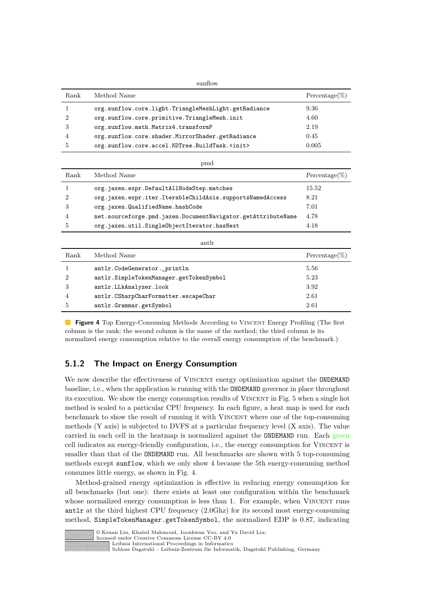<span id="page-14-0"></span>

| sunflow |                                                        |                  |  |  |
|---------|--------------------------------------------------------|------------------|--|--|
| Rank    | Method Name                                            | $Percentage(\%)$ |  |  |
|         | org.sunflow.core.light.TriangleMeshLight.getRadiance   | 9.36             |  |  |
| 2       | org.sunflow.core.primitive.TriangleMesh.init           | 4.60             |  |  |
| 3       | org.sunflow.math.Matrix4.transformP                    | 2.19             |  |  |
| 4       | org.sunflow.core.shader.MirrorShader.getRadiance       | 0.45             |  |  |
| 5       | org.sunflow.core.accel.KDTree.BuildTask. <init></init> | 0.005            |  |  |

|      | pmd                                                          |                  |
|------|--------------------------------------------------------------|------------------|
| Rank | Method Name                                                  | $Percentage(\%)$ |
|      | org.jaxen.expr.DefaultAllNodeStep.matches                    | 15.52            |
|      | org.jaxen.expr.iter.IterableChildAxis.supportsNamedAccess    | 8.21             |
| 3    | org.jaxen.QualifiedName.hashCode                             | 7.01             |
| 4    | net.sourceforge.pmd.jaxen.DocumentNavigator.getAttributeName | 4.78             |
| 5    | org.jaxen.util.SingleObjectIterator.hasNext                  | 4.18             |

|               | antlr                                   |                  |
|---------------|-----------------------------------------|------------------|
| Rank          | Method Name                             | $Percentage(\%)$ |
|               | antlr.CodeGenerator._println            | 5.56             |
| $\mathcal{D}$ | antlr.SimpleTokenManager.getTokenSymbol | 5.23             |
| 3             | antlr.LLkAnalyzer.look                  | 3.92             |
| 4             | antlr.CSharpCharFormatter.escapeChar    | 2.61             |
|               | antlr.Grammar.getSymbol                 | 2.61             |

**Figure 4** Top Energy-Consuming Methods According to VINCENT Energy Profiling (The first column is the rank; the second column is the name of the method; the third column is its normalized energy consumption relative to the overall energy consumption of the benchmark.)

# **5.1.2 The Impact on Energy Consumption**

We now describe the effectiveness of VINCENT energy optimization against the ONDEMAND baseline, i.e., when the application is running with the ONDEMAND governor in place throughout its execution. We show the energy consumption results of VINCENT in Fig. [5](#page-15-0) when a single hot method is scaled to a particular CPU frequency. In each figure, a heat map is used for each benchmark to show the result of running it with VINCENT where one of the top-consuming methods (Y axis) is subjected to DVFS at a particular frequency level (X axis). The value carried in each cell in the heatmap is normalized against the ONDEMAND run. Each green cell indicates an energy-friendly configuration, i.e., the energy consumption for VINCENT is smaller than that of the ONDEMAND run. All benchmarks are shown with 5 top-consuming methods except sunflow, which we only show 4 because the 5th energy-consuming method consumes little energy, as shown in Fig. [4.](#page-14-0)

Method-grained energy optimization is effective in reducing energy consumption for all benchmarks (but one): there exists at least one configuration within the benchmark whose normalized energy consumption is less than 1. For example, when VINCENT runs antlr at the third highest CPU frequency (2.0Ghz) for its second most energy-consuming method, SimpleTokenManager.getTokenSymbol, the normalized EDP is 0.87, indicating



© Kenan Liu, Khaled Mahmoud, Joonhwan Yoo, and Yu David Liu; licensed under Creative Commons License CC-BY 4.0

[Leibniz International Proceedings in Informatics](https://www.dagstuhl.de/lipics/)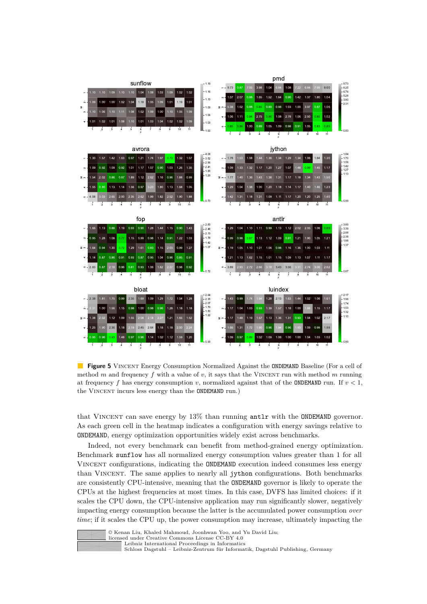<span id="page-15-0"></span>

**Figure 5** VINCENT Energy Consumption Normalized Against the **ONDEMAND** Baseline (For a cell of method  $m$  and frequency  $f$  with a value of  $v$ , it says that the VINCENT run with method  $m$  running at frequency *f* has energy consumption *v*, normalized against that of the ONDEMAND run. If  $v < 1$ , the Vincent incurs less energy than the ONDEMAND run.)

that VINCENT can save energy by 13% than running antlr with the ONDEMAND governor. As each green cell in the heatmap indicates a configuration with energy savings relative to ONDEMAND, energy optimization opportunities widely exist across benchmarks.

Indeed, not every benchmark can benefit from method-grained energy optimization. Benchmark sunflow has all normalized energy consumption values greater than 1 for all Vincent configurations, indicating the ONDEMAND execution indeed consumes less energy than Vincent. The same applies to nearly all jython configurations. Both benchmarks are consistently CPU-intensive, meaning that the ONDEMAND governor is likely to operate the CPUs at the highest frequencies at most times. In this case, DVFS has limited choices: if it scales the CPU down, the CPU-intensive application may run significantly slower, negatively impacting energy consumption because the latter is the accumulated power consumption *over time*; if it scales the CPU up, the power consumption may increase, ultimately impacting the



© Kenan Liu, Khaled Mahmoud, Joonhwan Yoo, and Yu David Liu; licensed under Creative Commons License CC-BY 4.0 [Leibniz International Proceedings in Informatics](https://www.dagstuhl.de/lipics/) [Schloss Dagstuhl – Leibniz-Zentrum für Informatik, Dagstuhl Publishing, Germany](https://www.dagstuhl.de)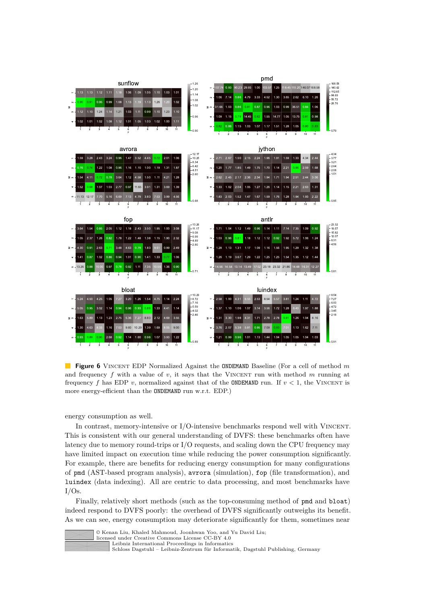<span id="page-16-0"></span>

**Figure 6** Vincent EDP Normalized Against the ONDEMAND Baseline (For a cell of method *m* and frequency  $f$  with a value of  $v$ , it says that the VINCENT run with method  $m$  running at frequency f has EDP *v*, normalized against that of the **ONDEMAND** run. If  $v < 1$ , the VINCENT is more energy-efficient than the ONDEMAND run w.r.t. EDP.)

energy consumption as well.

In contrast, memory-intensive or I/O-intensive benchmarks respond well with Vincent. This is consistent with our general understanding of DVFS: these benchmarks often have latency due to memory round-trips or I/O requests, and scaling down the CPU frequency may have limited impact on execution time while reducing the power consumption significantly. For example, there are benefits for reducing energy consumption for many configurations of pmd (AST-based program analysis), avrora (simulation), fop (file transformation), and luindex (data indexing). All are centric to data processing, and most benchmarks have  $I/Os$ .

Finally, relatively short methods (such as the top-consuming method of pmd and bloat) indeed respond to DVFS poorly: the overhead of DVFS significantly outweighs its benefit. As we can see, energy consumption may deteriorate significantly for them, sometimes near

| © Kenan Liu, Khaled Mahmoud, Joonhwan Yoo, and Yu David Liu; |
|--------------------------------------------------------------|
| licensed under Creative Commons License CC-BY 4.0            |
| Leibniz International Proceedings in Informatics             |
| Schloss Dagstuhl – Leibniz-Zentrum für Informatik. Dagstuhl  |

nsed under Creative Commons License CC-BY 4.0<br>Leibniz International Proceedings in Informatics

[Leibniz International Proceedings in Informatics](https://www.dagstuhl.de/lipics/) [Schloss Dagstuhl – Leibniz-Zentrum für Informatik, Dagstuhl Publishing, Germany](https://www.dagstuhl.de)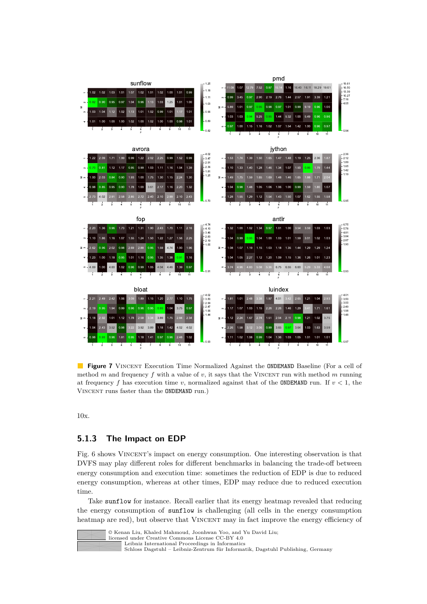<span id="page-17-0"></span>

**Figure 7** VINCENT Execution Time Normalized Against the **ONDEMAND** Baseline (For a cell of method  $m$  and frequency  $f$  with a value of  $v$ , it says that the VINCENT run with method  $m$  running at frequency f has execution time *v*, normalized against that of the ONDEMAND run. If  $v < 1$ , the Vincent runs faster than the ONDEMAND run.)

10x.

# **5.1.3 The Impact on EDP**

Fig. [6](#page-16-0) shows VINCENT's impact on energy consumption. One interesting observation is that DVFS may play different roles for different benchmarks in balancing the trade-off between energy consumption and execution time: sometimes the reduction of EDP is due to reduced energy consumption, whereas at other times, EDP may reduce due to reduced execution time.

Take sunflow for instance. Recall earlier that its energy heatmap revealed that reducing the energy consumption of sunflow is challenging (all cells in the energy consumption heatmap are red), but observe that VINCENT may in fact improve the energy efficiency of



© Kenan Liu, Khaled Mahmoud, Joonhwan Yoo, and Yu David Liu; licensed under Creative Commons License CC-BY 4.0

[Leibniz International Proceedings in Informatics](https://www.dagstuhl.de/lipics/)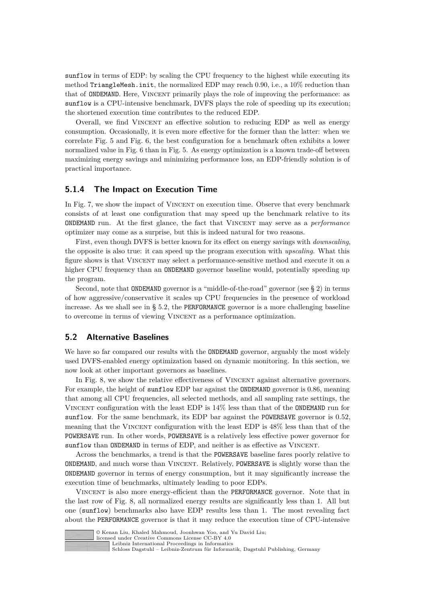sunflow in terms of EDP: by scaling the CPU frequency to the highest while executing its method TriangleMesh.init, the normalized EDP may reach  $0.90$ , i.e., a  $10\%$  reduction than that of ONDEMAND. Here, Vincent primarily plays the role of improving the performance: as sunflow is a CPU-intensive benchmark, DVFS plays the role of speeding up its execution; the shortened execution time contributes to the reduced EDP.

Overall, we find Vincent an effective solution to reducing EDP as well as energy consumption. Occasionally, it is even more effective for the former than the latter: when we correlate Fig. [5](#page-15-0) and Fig. [6,](#page-16-0) the best configuration for a benchmark often exhibits a lower normalized value in Fig. [6](#page-16-0) than in Fig. [5.](#page-15-0) As energy optimization is a known trade-off between maximizing energy savings and minimizing performance loss, an EDP-friendly solution is of practical importance.

#### **5.1.4 The Impact on Execution Time**

In Fig. [7,](#page-17-0) we show the impact of VINCENT on execution time. Observe that every benchmark consists of at least one configuration that may speed up the benchmark relative to its ONDEMAND run. At the first glance, the fact that Vincent may serve as a *performance* optimizer may come as a surprise, but this is indeed natural for two reasons.

First, even though DVFS is better known for its effect on energy savings with *downscaling*, the opposite is also true: it can speed up the program execution with *upscaling*. What this figure shows is that VINCENT may select a performance-sensitive method and execute it on a higher CPU frequency than an ONDEMAND governor baseline would, potentially speeding up the program.

Second, note that ONDEMAND governor is a "middle-of-the-road" governor (see § [2\)](#page-2-2) in terms of how aggressive/conservative it scales up CPU frequencies in the presence of workload increase. As we shall see in § [5.2,](#page-18-0) the PERFORMANCE governor is a more challenging baseline to overcome in terms of viewing VINCENT as a performance optimization.

#### <span id="page-18-0"></span>**5.2 Alternative Baselines**

We have so far compared our results with the **ONDEMAND** governor, arguably the most widely used DVFS-enabled energy optimization based on dynamic monitoring. In this section, we now look at other important governors as baselines.

In Fig. [8,](#page-19-0) we show the relative effectiveness of VINCENT against alternative governors. For example, the height of sunflow EDP bar against the ONDEMAND governor is 0.86, meaning that among all CPU frequencies, all selected methods, and all sampling rate settings, the Vincent configuration with the least EDP is 14% less than that of the ONDEMAND run for sunflow. For the same benchmark, its EDP bar against the POWERSAVE governor is 0.52, meaning that the VINCENT configuration with the least EDP is  $48\%$  less than that of the POWERSAVE run. In other words, POWERSAVE is a relatively less effective power governor for sunflow than ONDEMAND in terms of EDP, and neither is as effective as VINCENT.

Across the benchmarks, a trend is that the POWERSAVE baseline fares poorly relative to ONDEMAND, and much worse than Vincent. Relatively, POWERSAVE is slightly worse than the ONDEMAND governor in terms of energy consumption, but it may significantly increase the execution time of benchmarks, ultimately leading to poor EDPs.

Vincent is also more energy-efficient than the PERFORMANCE governor. Note that in the last row of Fig. [8,](#page-19-0) all normalized energy results are significantly less than 1. All but one (sunflow) benchmarks also have EDP results less than 1. The most revealing fact about the PERFORMANCE governor is that it may reduce the execution time of CPU-intensive



© Kenan Liu, Khaled Mahmoud, Joonhwan Yoo, and Yu David Liu;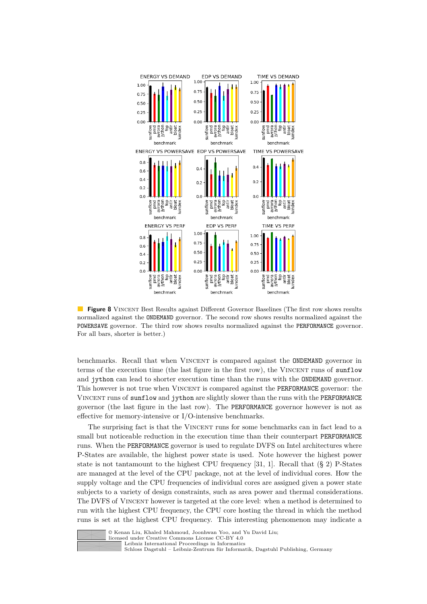<span id="page-19-0"></span>

**Figure 8** VINCENT Best Results against Different Governor Baselines (The first row shows results normalized against the ONDEMAND governor. The second row shows results normalized against the POWERSAVE governor. The third row shows results normalized against the PERFORMANCE governor. For all bars, shorter is better.)

benchmarks. Recall that when Vincent is compared against the ONDEMAND governor in terms of the execution time (the last figure in the first row), the VINCENT runs of sunflow and jython can lead to shorter execution time than the runs with the ONDEMAND governor. This however is not true when VINCENT is compared against the PERFORMANCE governor: the Vincent runs of sunflow and jython are slightly slower than the runs with the PERFORMANCE governor (the last figure in the last row). The PERFORMANCE governor however is not as effective for memory-intensive or I/O-intensive benchmarks.

The surprising fact is that the VINCENT runs for some benchmarks can in fact lead to a small but noticeable reduction in the execution time than their counterpart PERFORMANCE runs. When the PERFORMANCE governor is used to regulate DVFS on Intel architectures where P-States are available, the highest power state is used. Note however the highest power state is not tantamount to the highest CPU frequency [\[31,](#page-26-8) [1\]](#page-25-12). Recall that (§ [2\)](#page-2-2) P-States are managed at the level of the CPU package, not at the level of individual cores. How the supply voltage and the CPU frequencies of individual cores are assigned given a power state subjects to a variety of design constraints, such as area power and thermal considerations. The DVFS of Vincent however is targeted at the core level: when a method is determined to run with the highest CPU frequency, the CPU core hosting the thread in which the method runs is set at the highest CPU frequency. This interesting phenomenon may indicate a



© Kenan Liu, Khaled Mahmoud, Joonhwan Yoo, and Yu David Liu; licensed under Creative Commons License CC-BY 4.0 [Leibniz International Proceedings in Informatics](https://www.dagstuhl.de/lipics/)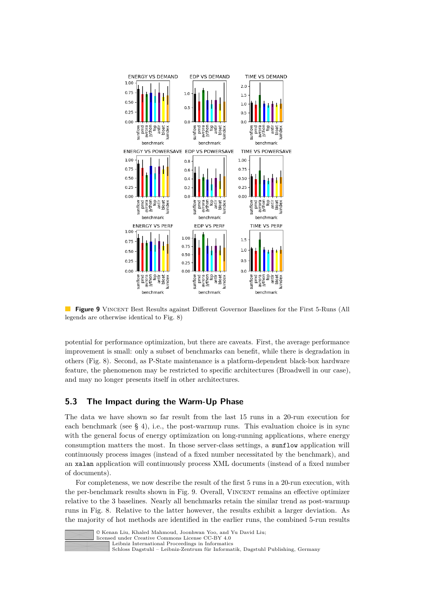<span id="page-20-0"></span>

**Figure 9** VINCENT Best Results against Different Governor Baselines for the First 5-Runs (All legends are otherwise identical to Fig. [8\)](#page-19-0)

potential for performance optimization, but there are caveats. First, the average performance improvement is small: only a subset of benchmarks can benefit, while there is degradation in others (Fig. [8\)](#page-19-0). Second, as P-State maintenance is a platform-dependent black-box hardware feature, the phenomenon may be restricted to specific architectures (Broadwell in our case), and may no longer presents itself in other architectures.

# **5.3 The Impact during the Warm-Up Phase**

The data we have shown so far result from the last 15 runs in a 20-run execution for each benchmark (see § [4\)](#page-11-0), i.e., the post-warmup runs. This evaluation choice is in sync with the general focus of energy optimization on long-running applications, where energy consumption matters the most. In those server-class settings, a sunflow application will continuously process images (instead of a fixed number necessitated by the benchmark), and an xalan application will continuously process XML documents (instead of a fixed number of documents).

For completeness, we now describe the result of the first 5 runs in a 20-run execution, with the per-benchmark results shown in Fig. [9.](#page-20-0) Overall, VINCENT remains an effective optimizer relative to the 3 baselines. Nearly all benchmarks retain the similar trend as post-warmup runs in Fig. [8.](#page-19-0) Relative to the latter however, the results exhibit a larger deviation. As the majority of hot methods are identified in the earlier runs, the combined 5-run results



licensed under Creative Commons License CC-BY 4.0

[Leibniz International Proceedings in Informatics](https://www.dagstuhl.de/lipics/)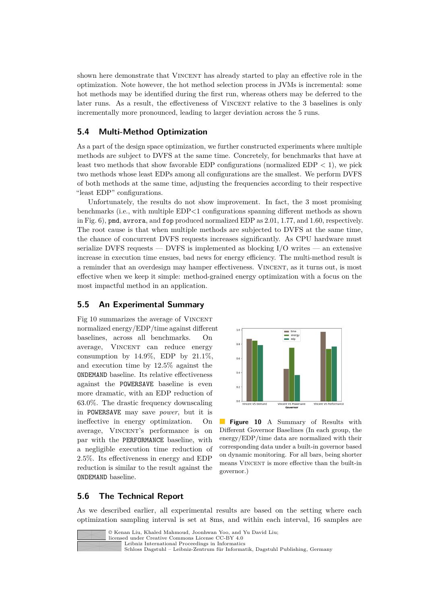shown here demonstrate that VINCENT has already started to play an effective role in the optimization. Note however, the hot method selection process in JVMs is incremental: some hot methods may be identified during the first run, whereas others may be deferred to the later runs. As a result, the effectiveness of VINCENT relative to the 3 baselines is only incrementally more pronounced, leading to larger deviation across the 5 runs.

# **5.4 Multi-Method Optimization**

As a part of the design space optimization, we further constructed experiments where multiple methods are subject to DVFS at the same time. Concretely, for benchmarks that have at least two methods that show favorable EDP configurations (normalized EDP *<* 1), we pick two methods whose least EDPs among all configurations are the smallest. We perform DVFS of both methods at the same time, adjusting the frequencies according to their respective "least EDP" configurations.

Unfortunately, the results do not show improvement. In fact, the 3 most promising benchmarks (i.e., with multiple EDP*<*1 configurations spanning different methods as shown in Fig. [6\)](#page-16-0), pmd, avrora, and fop produced normalized EDP as 2.01, 1.77, and 1.60, respectively. The root cause is that when multiple methods are subjected to DVFS at the same time, the chance of concurrent DVFS requests increases significantly. As CPU hardware must serialize DVFS requests — DVFS is implemented as blocking  $I/O$  writes — an extensive increase in execution time ensues, bad news for energy efficiency. The multi-method result is a reminder that an overdesign may hamper effectiveness. Vincent, as it turns out, is most effective when we keep it simple: method-grained energy optimization with a focus on the most impactful method in an application.

#### **5.5 An Experimental Summary**

Fig [10](#page-21-0) summarizes the average of VINCENT normalized energy/EDP/time against different baselines, across all benchmarks. On average, VINCENT can reduce energy consumption by  $14.9\%$ , EDP by  $21.1\%$ , and execution time by 12.5% against the ONDEMAND baseline. Its relative effectiveness against the POWERSAVE baseline is even more dramatic, with an EDP reduction of 63.0%. The drastic frequency downscaling in POWERSAVE may save *power*, but it is ineffective in energy optimization. On average, VINCENT's performance is on par with the PERFORMANCE baseline, with a negligible execution time reduction of 2.5%. Its effectiveness in energy and EDP reduction is similar to the result against the ONDEMAND baseline.

<span id="page-21-0"></span>

**Figure 10** A Summary of Results with Different Governor Baselines (In each group, the energy/EDP/time data are normalized with their corresponding data under a built-in governor based on dynamic monitoring. For all bars, being shorter means VINCENT is more effective than the built-in governor.)

# **5.6 The Technical Report**

As we described earlier, all experimental results are based on the setting where each optimization sampling interval is set at 8ms, and within each interval, 16 samples are



© Kenan Liu, Khaled Mahmoud, Joonhwan Yoo, and Yu David Liu;

licensed under Creative Commons License CC-BY 4.0 [Leibniz International Proceedings in Informatics](https://www.dagstuhl.de/lipics/)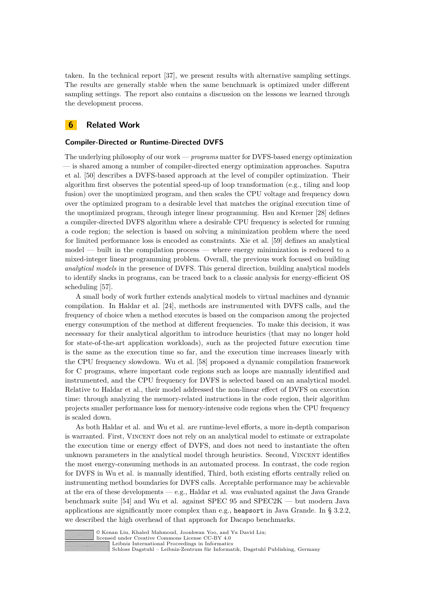taken. In the technical report [\[37\]](#page-27-5), we present results with alternative sampling settings. The results are generally stable when the same benchmark is optimized under different sampling settings. The report also contains a discussion on the lessons we learned through the development process.

### <span id="page-22-0"></span>**6 Related Work**

#### **Compiler-Directed or Runtime-Directed DVFS**

The underlying philosophy of our work — *programs* matter for DVFS-based energy optimization — is shared among a number of compiler-directed energy optimization approaches. Saputra et al. [\[50\]](#page-28-7) describes a DVFS-based approach at the level of compiler optimization. Their algorithm first observes the potential speed-up of loop transformation (e.g., tiling and loop fusion) over the unoptimized program, and then scales the CPU voltage and frequency down over the optimized program to a desirable level that matches the original execution time of the unoptimized program, through integer linear programming. Hsu and Kremer [\[28\]](#page-26-6) defines a compiler-directed DVFS algorithm where a desirable CPU frequency is selected for running a code region; the selection is based on solving a minimization problem where the need for limited performance loss is encoded as constraints. Xie et al. [\[59\]](#page-28-8) defines an analytical model — built in the compilation process — where energy minimization is reduced to a mixed-integer linear programming problem. Overall, the previous work focused on building *analytical models* in the presence of DVFS. This general direction, building analytical models to identify slacks in programs, can be traced back to a classic analysis for energy-efficient OS scheduling [\[57\]](#page-28-10).

A small body of work further extends analytical models to virtual machines and dynamic compilation. In Haldar et al. [\[24\]](#page-26-7), methods are instrumented with DVFS calls, and the frequency of choice when a method executes is based on the comparison among the projected energy consumption of the method at different frequencies. To make this decision, it was necessary for their analytical algorithm to introduce heuristics (that may no longer hold for state-of-the-art application workloads), such as the projected future execution time is the same as the execution time so far, and the execution time increases linearly with the CPU frequency slowdown. Wu et al. [\[58\]](#page-28-9) proposed a dynamic compilation framework for C programs, where important code regions such as loops are manually identified and instrumented, and the CPU frequency for DVFS is selected based on an analytical model. Relative to Haldar et al., their model addressed the non-linear effect of DVFS on execution time: through analyzing the memory-related instructions in the code region, their algorithm projects smaller performance loss for memory-intensive code regions when the CPU frequency is scaled down.

As both Haldar et al. and Wu et al. are runtime-level efforts, a more in-depth comparison is warranted. First, Vincent does not rely on an analytical model to estimate or extrapolate the execution time or energy effect of DVFS, and does not need to instantiate the often unknown parameters in the analytical model through heuristics. Second, VINCENT identifies the most energy-consuming methods in an automated process. In contrast, the code region for DVFS in Wu et al. is manually identified, Third, both existing efforts centrally relied on instrumenting method boundaries for DVFS calls. Acceptable performance may be achievable at the era of these developments — e.g., Haldar et al. was evaluated against the Java Grande benchmark suite [\[54\]](#page-28-11) and Wu et al. against SPEC 95 and SPEC2K — but modern Java applications are significantly more complex than e.g., heapsort in Java Grande. In § [3.2.2,](#page-7-0) we described the high overhead of that approach for Dacapo benchmarks.



© Kenan Liu, Khaled Mahmoud, Joonhwan Yoo, and Yu David Liu;

licensed under Creative Commons License CC-BY 4.0 [Leibniz International Proceedings in Informatics](https://www.dagstuhl.de/lipics/)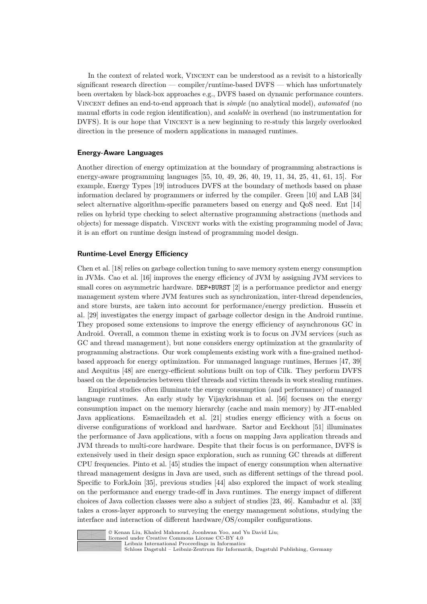In the context of related work, VINCENT can be understood as a revisit to a historically significant research direction — compiler/runtime-based DVFS — which has unfortunately been overtaken by black-box approaches e.g., DVFS based on dynamic performance counters. Vincent defines an end-to-end approach that is *simple* (no analytical model), *automated* (no manual efforts in code region identification), and *scalable* in overhead (no instrumentation for DVFS). It is our hope that VINCENT is a new beginning to re-study this largely overlooked direction in the presence of modern applications in managed runtimes.

#### **Energy-Aware Languages**

Another direction of energy optimization at the boundary of programming abstractions is energy-aware programming languages [\[55,](#page-28-1) [10,](#page-25-0) [49,](#page-28-2) [26,](#page-26-1) [40,](#page-27-6) [19,](#page-26-2) [11,](#page-25-1) [34,](#page-27-1) [25,](#page-26-3) [41,](#page-27-2) [61,](#page-28-3) [15\]](#page-25-2). For example, Energy Types [\[19\]](#page-26-2) introduces DVFS at the boundary of methods based on phase information declared by programmers or inferred by the compiler. Green [\[10\]](#page-25-0) and LAB [\[34\]](#page-27-1) select alternative algorithm-specific parameters based on energy and QoS need. Ent [\[14\]](#page-25-13) relies on hybrid type checking to select alternative programming abstractions (methods and objects) for message dispatch. Vincent works with the existing programming model of Java; it is an effort on runtime design instead of programming model design.

#### **Runtime-Level Energy Efficiency**

Chen et al. [\[18\]](#page-26-11) relies on garbage collection tuning to save memory system energy consumption in JVMs. Cao et al. [\[16\]](#page-26-12) improves the energy efficiency of JVM by assigning JVM services to small cores on asymmetric hardware. DEP+BURST [\[2\]](#page-25-3) is a performance predictor and energy management system where JVM features such as synchronization, inter-thread dependencies, and store bursts, are taken into account for performance/energy prediction. Hussein et al. [\[29\]](#page-26-4) investigates the energy impact of garbage collector design in the Android runtime. They proposed some extensions to improve the energy efficiency of asynchronous GC in Android. Overall, a common theme in existing work is to focus on JVM services (such as GC and thread management), but none considers energy optimization at the granularity of programming abstractions. Our work complements existing work with a fine-grained methodbased approach for energy optimization. For unmanaged language runtimes, Hermes [\[47,](#page-27-7) [39\]](#page-27-8) and Aequitus [\[48\]](#page-27-9) are energy-efficient solutions built on top of Cilk. They perform DVFS based on the dependencies between thief threads and victim threads in work stealing runtimes.

Empirical studies often illuminate the energy consumption (and performance) of managed language runtimes. An early study by Vijaykrishnan et al. [\[56\]](#page-28-4) focuses on the energy consumption impact on the memory hierarchy (cache and main memory) by JIT-enabled Java applications. Esmaeilzadeh et al. [\[21\]](#page-26-13) studies energy efficiency with a focus on diverse configurations of workload and hardware. Sartor and Eeckhout [\[51\]](#page-28-12) illuminates the performance of Java applications, with a focus on mapping Java application threads and JVM threads to multi-core hardware. Despite that their focus is on performance, DVFS is extensively used in their design space exploration, such as running GC threads at different CPU frequencies. Pinto et al. [\[45\]](#page-27-10) studies the impact of energy consumption when alternative thread management designs in Java are used, such as different settings of the thread pool. Specific to ForkJoin [\[35\]](#page-27-11), previous studies [\[44\]](#page-27-12) also explored the impact of work stealing on the performance and energy trade-off in Java runtimes. The energy impact of different choices of Java collection classes were also a subject of studies [\[23,](#page-26-14) [46\]](#page-27-13). Kambadur et al. [\[33\]](#page-27-14) takes a cross-layer approach to surveying the energy management solutions, studying the interface and interaction of different hardware/OS/compiler configurations.



© Kenan Liu, Khaled Mahmoud, Joonhwan Yoo, and Yu David Liu;

licensed under Creative Commons License CC-BY 4.0 [Leibniz International Proceedings in Informatics](https://www.dagstuhl.de/lipics/)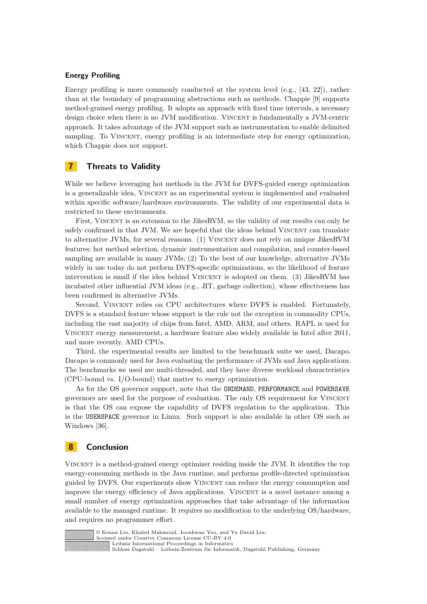#### **Energy Profiling**

Energy profiling is more commonly conducted at the system level (e.g., [\[43,](#page-27-15) [22\]](#page-26-15)), rather than at the boundary of programming abstractions such as methods. Chappie [\[9\]](#page-25-14) supports method-grained energy profiling. It adopts an approach with fixed time intervals, a necessary design choice when there is no JVM modification. VINCENT is fundamentally a JVM-centric approach. It takes advantage of the JVM support such as instrumentation to enable delimited sampling. To VINCENT, energy profiling is an intermediate step for energy optimization, which Chappie does not support.

# **7 Threats to Validity**

While we believe leveraging hot methods in the JVM for DVFS-guided energy optimization is a generalizable idea. VINCENT as an experimental system is implemented and evaluated within specific software/hardware environments. The validity of our experimental data is restricted to these environments.

First, VINCENT is an extension to the JikesRVM, so the validity of our results can only be safely confirmed in that JVM. We are hopeful that the ideas behind VINCENT can translate to alternative JVMs, for several reasons. (1) VINCENT does not rely on unique JikesRVM features; hot method selection, dynamic instrumentation and compilation, and counter-based sampling are available in many JVMs; (2) To the best of our knowledge, alternative JVMs widely in use today do not perform DVFS-specific optimizations, so the likelihood of feature intervention is small if the idea behind VINCENT is adopted on them. (3) JikesRVM has incubated other influential JVM ideas (e.g., JIT, garbage collection), whose effectiveness has been confirmed in alternative JVMs.

Second, Vincent relies on CPU architectures where DVFS is enabled. Fortunately, DVFS is a standard feature whose support is the rule not the exception in commodity CPUs, including the vast majority of chips from Intel, AMD, ARM, and others. RAPL is used for Vincent energy measurement, a hardware feature also widely available in Intel after 2011, and more recently, AMD CPUs.

Third, the experimental results are limited to the benchmark suite we used, Dacapo. Dacapo is commonly used for Java evaluating the performance of JVMs and Java applications. The benchmarks we used are multi-threaded, and they have diverse workload characteristics (CPU-bound vs. I/O-bound) that matter to energy optimization.

As for the OS governor support, note that the ONDEMAND, PERFORMANCE and POWERSAVE governors are used for the purpose of evaluation. The only OS requirement for Vincent is that the OS can expose the capability of DVFS regulation to the application. This is the USERSPACE governor in Linux. Such support is also available in other OS such as Windows [\[36\]](#page-27-16).

# **8 Conclusion**

Vincent is a method-grained energy optimizer residing inside the JVM. It identifies the top energy-consuming methods in the Java runtime, and performs profile-directed optimization guided by DVFS. Our experiments show VINCENT can reduce the energy consumption and improve the energy efficiency of Java applications. VINCENT is a novel instance among a small number of energy optimization approaches that take advantage of the information available to the managed runtime. It requires no modification to the underlying OS/hardware, and requires no programmer effort.



© Kenan Liu, Khaled Mahmoud, Joonhwan Yoo, and Yu David Liu; licensed under Creative Commons License CC-BY 4.0 [Leibniz International Proceedings in Informatics](https://www.dagstuhl.de/lipics/) [Schloss Dagstuhl – Leibniz-Zentrum für Informatik, Dagstuhl Publishing, Germany](https://www.dagstuhl.de)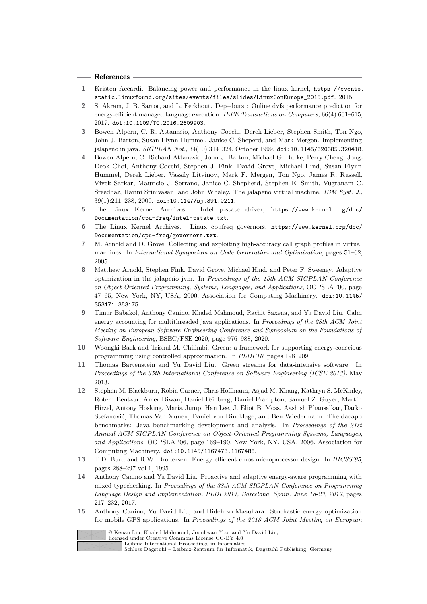#### **References**

- <span id="page-25-12"></span>**1** Kristen Accardi. Balancing power and performance in the linux kernel, [https://events.](https://events.static.linuxfound.org/sites/events/files/slides/LinuxConEurope_2015.pdf) [static.linuxfound.org/sites/events/files/slides/LinuxConEurope\\_2015.pdf](https://events.static.linuxfound.org/sites/events/files/slides/LinuxConEurope_2015.pdf). 2015.
- <span id="page-25-3"></span>**2** S. Akram, J. B. Sartor, and L. Eeckhout. Dep+burst: Online dvfs performance prediction for energy-efficient managed language execution. *IEEE Transactions on Computers*, 66(4):601–615, 2017. [doi:10.1109/TC.2016.2609903](https://doi.org/10.1109/TC.2016.2609903).
- <span id="page-25-7"></span>**3** Bowen Alpern, C. R. Attanasio, Anthony Cocchi, Derek Lieber, Stephen Smith, Ton Ngo, John J. Barton, Susan Flynn Hummel, Janice C. Sheperd, and Mark Mergen. Implementing jalapeño in java. *SIGPLAN Not.*, 34(10):314–324, October 1999. [doi:10.1145/320385.320418](https://doi.org/10.1145/320385.320418).
- <span id="page-25-6"></span>**4** Bowen Alpern, C. Richard Attanasio, John J. Barton, Michael G. Burke, Perry Cheng, Jong-Deok Choi, Anthony Cocchi, Stephen J. Fink, David Grove, Michael Hind, Susan Flynn Hummel, Derek Lieber, Vassily Litvinov, Mark F. Mergen, Ton Ngo, James R. Russell, Vivek Sarkar, Mauricio J. Serrano, Janice C. Shepherd, Stephen E. Smith, Vugranam C. Sreedhar, Harini Srinivasan, and John Whaley. The jalapeño virtual machine. *IBM Syst. J.*, 39(1):211–238, 2000. [doi:10.1147/sj.391.0211](https://doi.org/10.1147/sj.391.0211).
- <span id="page-25-9"></span>**5** The Linux Kernel Archives. Intel p-state driver, [https://www.kernel.org/doc/](https://www.kernel.org/doc/Documentation/cpu-freq/intel-pstate.txt) [Documentation/cpu-freq/intel-pstate.txt](https://www.kernel.org/doc/Documentation/cpu-freq/intel-pstate.txt).
- <span id="page-25-8"></span>**6** The Linux Kernel Archives. Linux cpufreq governors, [https://www.kernel.org/doc/](https://www.kernel.org/doc/Documentation/cpu-freq/governors.txt) [Documentation/cpu-freq/governors.txt](https://www.kernel.org/doc/Documentation/cpu-freq/governors.txt).
- <span id="page-25-10"></span>**7** M. Arnold and D. Grove. Collecting and exploiting high-accuracy call graph profiles in virtual machines. In *International Symposium on Code Generation and Optimization*, pages 51–62, 2005.
- <span id="page-25-11"></span>**8** Matthew Arnold, Stephen Fink, David Grove, Michael Hind, and Peter F. Sweeney. Adaptive optimization in the jalapeño jvm. In *Proceedings of the 15th ACM SIGPLAN Conference on Object-Oriented Programming, Systems, Languages, and Applications*, OOPSLA '00, page 47–65, New York, NY, USA, 2000. Association for Computing Machinery. [doi:10.1145/](https://doi.org/10.1145/353171.353175) [353171.353175](https://doi.org/10.1145/353171.353175).
- <span id="page-25-14"></span>**9** Timur Babakol, Anthony Canino, Khaled Mahmoud, Rachit Saxena, and Yu David Liu. Calm energy accounting for multithreaded java applications. In *Proceedings of the 28th ACM Joint Meeting on European Software Engineering Conference and Symposium on the Foundations of Software Engineering*, ESEC/FSE 2020, page 976–988, 2020.
- <span id="page-25-0"></span>**10** Woongki Baek and Trishul M. Chilimbi. Green: a framework for supporting energy-conscious programming using controlled approximation. In *PLDI'10*, pages 198–209.
- <span id="page-25-1"></span>**11** Thomas Bartenstein and Yu David Liu. Green streams for data-intensive software. In *Proceedings of the 35th International Conference on Software Engineering (ICSE 2013)*, May 2013.
- <span id="page-25-5"></span>**12** Stephen M. Blackburn, Robin Garner, Chris Hoffmann, Asjad M. Khang, Kathryn S. McKinley, Rotem Bentzur, Amer Diwan, Daniel Feinberg, Daniel Frampton, Samuel Z. Guyer, Martin Hirzel, Antony Hosking, Maria Jump, Han Lee, J. Eliot B. Moss, Aashish Phansalkar, Darko Stefanović, Thomas VanDrunen, Daniel von Dincklage, and Ben Wiedermann. The dacapo benchmarks: Java benchmarking development and analysis. In *Proceedings of the 21st Annual ACM SIGPLAN Conference on Object-Oriented Programming Systems, Languages, and Applications*, OOPSLA '06, page 169–190, New York, NY, USA, 2006. Association for Computing Machinery. [doi:10.1145/1167473.1167488](https://doi.org/10.1145/1167473.1167488).
- <span id="page-25-4"></span>**13** T.D. Burd and R.W. Brodersen. Energy efficient cmos microprocessor design. In *HICSS'95*, pages 288–297 vol.1, 1995.
- <span id="page-25-13"></span>**14** Anthony Canino and Yu David Liu. Proactive and adaptive energy-aware programming with mixed typechecking. In *Proceedings of the 38th ACM SIGPLAN Conference on Programming Language Design and Implementation, PLDI 2017, Barcelona, Spain, June 18-23, 2017*, pages 217–232, 2017.
- <span id="page-25-2"></span>**15** Anthony Canino, Yu David Liu, and Hidehiko Masuhara. Stochastic energy optimization for mobile GPS applications. In *Proceedings of the 2018 ACM Joint Meeting on European*



licensed under Creative Commons License CC-BY 4.0

[Leibniz International Proceedings in Informatics](https://www.dagstuhl.de/lipics/)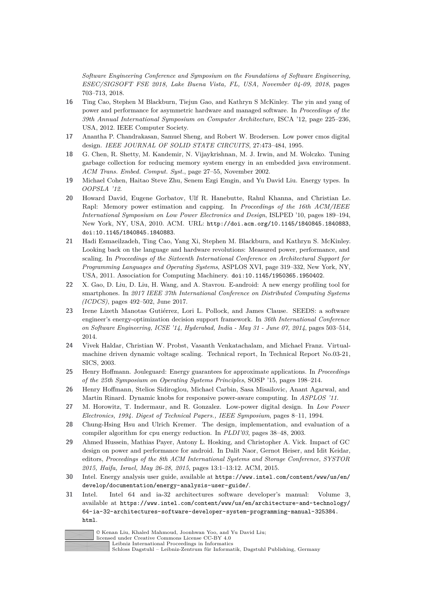*Software Engineering Conference and Symposium on the Foundations of Software Engineering, ESEC/SIGSOFT FSE 2018, Lake Buena Vista, FL, USA, November 04-09, 2018*, pages 703–713, 2018.

- <span id="page-26-12"></span>**16** Ting Cao, Stephen M Blackburn, Tiejun Gao, and Kathryn S McKinley. The yin and yang of power and performance for asymmetric hardware and managed software. In *Proceedings of the 39th Annual International Symposium on Computer Architecture*, ISCA '12, page 225–236, USA, 2012. IEEE Computer Society.
- <span id="page-26-0"></span>**17** Anantha P. Chandrakasan, Samuel Sheng, and Robert W. Brodersen. Low power cmos digital design. *IEEE JOURNAL OF SOLID STATE CIRCUITS*, 27:473–484, 1995.
- <span id="page-26-11"></span>**18** G. Chen, R. Shetty, M. Kandemir, N. Vijaykrishnan, M. J. Irwin, and M. Wolczko. Tuning garbage collection for reducing memory system energy in an embedded java environment. *ACM Trans. Embed. Comput. Syst.*, page 27–55, November 2002.
- <span id="page-26-2"></span>**19** Michael Cohen, Haitao Steve Zhu, Senem Ezgi Emgin, and Yu David Liu. Energy types. In *OOPSLA '12*.
- <span id="page-26-10"></span>**20** Howard David, Eugene Gorbatov, Ulf R. Hanebutte, Rahul Khanna, and Christian Le. Rapl: Memory power estimation and capping. In *Proceedings of the 16th ACM/IEEE International Symposium on Low Power Electronics and Design*, ISLPED '10, pages 189–194, New York, NY, USA, 2010. ACM. URL: <http://doi.acm.org/10.1145/1840845.1840883>, [doi:10.1145/1840845.1840883](https://doi.org/10.1145/1840845.1840883).
- <span id="page-26-13"></span>**21** Hadi Esmaeilzadeh, Ting Cao, Yang Xi, Stephen M. Blackburn, and Kathryn S. McKinley. Looking back on the language and hardware revolutions: Measured power, performance, and scaling. In *Proceedings of the Sixteenth International Conference on Architectural Support for Programming Languages and Operating Systems*, ASPLOS XVI, page 319–332, New York, NY, USA, 2011. Association for Computing Machinery. [doi:10.1145/1950365.1950402](https://doi.org/10.1145/1950365.1950402).
- <span id="page-26-15"></span>**22** X. Gao, D. Liu, D. Liu, H. Wang, and A. Stavrou. E-android: A new energy profiling tool for smartphones. In *2017 IEEE 37th International Conference on Distributed Computing Systems (ICDCS)*, pages 492–502, June 2017.
- <span id="page-26-14"></span>**23** Irene Lizeth Manotas Gutiérrez, Lori L. Pollock, and James Clause. SEEDS: a software engineer's energy-optimization decision support framework. In *36th International Conference on Software Engineering, ICSE '14, Hyderabad, India - May 31 - June 07, 2014*, pages 503–514, 2014.
- <span id="page-26-7"></span>**24** Vivek Haldar, Christian W. Probst, Vasanth Venkatachalam, and Michael Franz. Virtualmachine driven dynamic voltage scaling. Technical report, In Technical Report No.03-21, SICS, 2003.
- <span id="page-26-3"></span>**25** Henry Hoffmann. Jouleguard: Energy guarantees for approximate applications. In *Proceedings of the 25th Symposium on Operating Systems Principles*, SOSP '15, pages 198–214.
- <span id="page-26-1"></span>**26** Henry Hoffmann, Stelios Sidiroglou, Michael Carbin, Sasa Misailovic, Anant Agarwal, and Martin Rinard. Dynamic knobs for responsive power-aware computing. In *ASPLOS '11*.
- <span id="page-26-5"></span>**27** M. Horowitz, T. Indermaur, and R. Gonzalez. Low-power digital design. In *Low Power Electronics, 1994. Digest of Technical Papers., IEEE Symposium*, pages 8–11, 1994.
- <span id="page-26-6"></span>**28** Chung-Hsing Hsu and Ulrich Kremer. The design, implementation, and evaluation of a compiler algorithm for cpu energy reduction. In *PLDI'03*, pages 38–48, 2003.
- <span id="page-26-4"></span>**29** Ahmed Hussein, Mathias Payer, Antony L. Hosking, and Christopher A. Vick. Impact of GC design on power and performance for android. In Dalit Naor, Gernot Heiser, and Idit Keidar, editors, *Proceedings of the 8th ACM International Systems and Storage Conference, SYSTOR 2015, Haifa, Israel, May 26-28, 2015*, pages 13:1–13:12. ACM, 2015.
- <span id="page-26-9"></span>**30** Intel. Energy analysis user guide, available at [https://www.intel.com/content/www/us/en/](https://www.intel.com/content/www/us/en/develop/documentation/energy-analysis-user-guide/) [develop/documentation/energy-analysis-user-guide/](https://www.intel.com/content/www/us/en/develop/documentation/energy-analysis-user-guide/).
- <span id="page-26-8"></span>**31** Intel. Intel 64 and ia-32 architectures software developer's manual: Volume 3, available at [https://www.intel.com/content/www/us/en/architecture-and-technology/](https://www.intel.com/content/www/us/en/architecture-and-technology/64-ia-32-architectures-software-developer-system-programming-manual-325384.html) [64-ia-32-architectures-software-developer-system-programming-manual-325384.](https://www.intel.com/content/www/us/en/architecture-and-technology/64-ia-32-architectures-software-developer-system-programming-manual-325384.html) [html](https://www.intel.com/content/www/us/en/architecture-and-technology/64-ia-32-architectures-software-developer-system-programming-manual-325384.html).



© Kenan Liu, Khaled Mahmoud, Joonhwan Yoo, and Yu David Liu;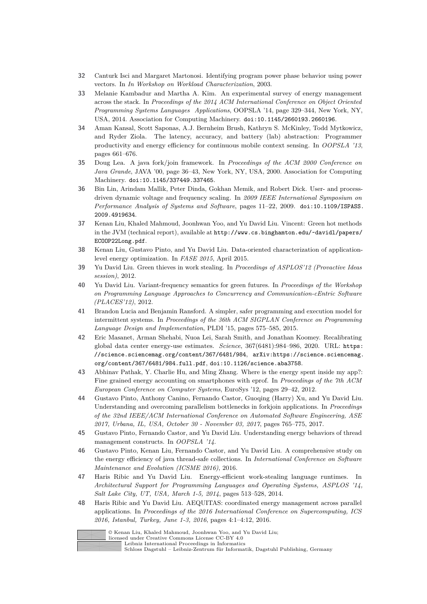- <span id="page-27-3"></span>**32** Canturk Isci and Margaret Martonosi. Identifying program power phase behavior using power vectors. In *In Workshop on Workload Characterization*, 2003.
- <span id="page-27-14"></span>**33** Melanie Kambadur and Martha A. Kim. An experimental survey of energy management across the stack. In *Proceedings of the 2014 ACM International Conference on Object Oriented Programming Systems Languages Applications*, OOPSLA '14, page 329–344, New York, NY, USA, 2014. Association for Computing Machinery. [doi:10.1145/2660193.2660196](https://doi.org/10.1145/2660193.2660196).
- <span id="page-27-1"></span>**34** Aman Kansal, Scott Saponas, A.J. Bernheim Brush, Kathryn S. McKinley, Todd Mytkowicz, and Ryder Ziola. The latency, accuracy, and battery (lab) abstraction: Programmer productivity and energy efficiency for continuous mobile context sensing. In *OOPSLA '13*, pages 661–676.
- <span id="page-27-11"></span>**35** Doug Lea. A java fork/join framework. In *Proceedings of the ACM 2000 Conference on Java Grande*, JAVA '00, page 36–43, New York, NY, USA, 2000. Association for Computing Machinery. [doi:10.1145/337449.337465](https://doi.org/10.1145/337449.337465).
- <span id="page-27-16"></span>**36** Bin Lin, Arindam Mallik, Peter Dinda, Gokhan Memik, and Robert Dick. User- and processdriven dynamic voltage and frequency scaling. In *2009 IEEE International Symposium on Performance Analysis of Systems and Software*, pages 11–22, 2009. [doi:10.1109/ISPASS.](https://doi.org/10.1109/ISPASS.2009.4919634) [2009.4919634](https://doi.org/10.1109/ISPASS.2009.4919634).
- <span id="page-27-5"></span>**37** Kenan Liu, Khaled Mahmoud, Joonhwan Yoo, and Yu David Liu. Vincent: Green hot methods in the JVM (technical report), available at [http://www.cs.binghamton.edu/~davidl/papers/](http://www.cs.binghamton.edu/~davidl/papers/ECOOP22Long.pdf) [ECOOP22Long.pdf](http://www.cs.binghamton.edu/~davidl/papers/ECOOP22Long.pdf).
- <span id="page-27-4"></span>**38** Kenan Liu, Gustavo Pinto, and Yu David Liu. Data-oriented characterization of applicationlevel energy optimization. In *FASE 2015*, April 2015.
- <span id="page-27-8"></span>**39** Yu David Liu. Green thieves in work stealing. In *Proceedings of ASPLOS'12 (Provactive Ideas session)*, 2012.
- <span id="page-27-6"></span>**40** Yu David Liu. Variant-frequency semantics for green futures. In *Proceedings of the Workshop on Programming Language Approaches to Concurrency and Communication-cEntric Software (PLACES'12)*, 2012.
- <span id="page-27-2"></span>**41** Brandon Lucia and Benjamin Ransford. A simpler, safer programming and execution model for intermittent systems. In *Proceedings of the 36th ACM SIGPLAN Conference on Programming Language Design and Implementation*, PLDI '15, pages 575–585, 2015.
- <span id="page-27-0"></span>**42** Eric Masanet, Arman Shehabi, Nuoa Lei, Sarah Smith, and Jonathan Koomey. Recalibrating global data center energy-use estimates. *Science*, 367(6481):984–986, 2020. URL: [https:](https://science.sciencemag.org/content/367/6481/984) [//science.sciencemag.org/content/367/6481/984](https://science.sciencemag.org/content/367/6481/984), [arXiv:https://science.sciencemag.](http://arxiv.org/abs/https://science.sciencemag.org/content/367/6481/984.full.pdf) [org/content/367/6481/984.full.pdf](http://arxiv.org/abs/https://science.sciencemag.org/content/367/6481/984.full.pdf), [doi:10.1126/science.aba3758](https://doi.org/10.1126/science.aba3758).
- <span id="page-27-15"></span>**43** Abhinav Pathak, Y. Charlie Hu, and Ming Zhang. Where is the energy spent inside my app?: Fine grained energy accounting on smartphones with eprof. In *Proceedings of the 7th ACM European Conference on Computer Systems*, EuroSys '12, pages 29–42, 2012.
- <span id="page-27-12"></span>**44** Gustavo Pinto, Anthony Canino, Fernando Castor, Guoqing (Harry) Xu, and Yu David Liu. Understanding and overcoming parallelism bottlenecks in forkjoin applications. In *Proceedings of the 32nd IEEE/ACM International Conference on Automated Software Engineering, ASE 2017, Urbana, IL, USA, October 30 - November 03, 2017*, pages 765–775, 2017.
- <span id="page-27-10"></span>**45** Gustavo Pinto, Fernando Castor, and Yu David Liu. Understanding energy behaviors of thread management constructs. In *OOPSLA '14*.
- <span id="page-27-13"></span>**46** Gustavo Pinto, Kenan Liu, Fernando Castor, and Yu David Liu. A comprehensive study on the energy efficiency of java thread-safe collections. In *International Conference on Software Maintenance and Evolution (ICSME 2016)*, 2016.
- <span id="page-27-7"></span>**47** Haris Ribic and Yu David Liu. Energy-efficient work-stealing language runtimes. In *Architectural Support for Programming Languages and Operating Systems, ASPLOS '14, Salt Lake City, UT, USA, March 1-5, 2014*, pages 513–528, 2014.
- <span id="page-27-9"></span>**48** Haris Ribic and Yu David Liu. AEQUITAS: coordinated energy management across parallel applications. In *Proceedings of the 2016 International Conference on Supercomputing, ICS 2016, Istanbul, Turkey, June 1-3, 2016*, pages 4:1–4:12, 2016.

© Kenan Liu, Khaled Mahmoud, Joonhwan Yoo, and Yu David Liu;

licensed under Creative Commons License CC-BY 4.0 [Leibniz International Proceedings in Informatics](https://www.dagstuhl.de/lipics/)